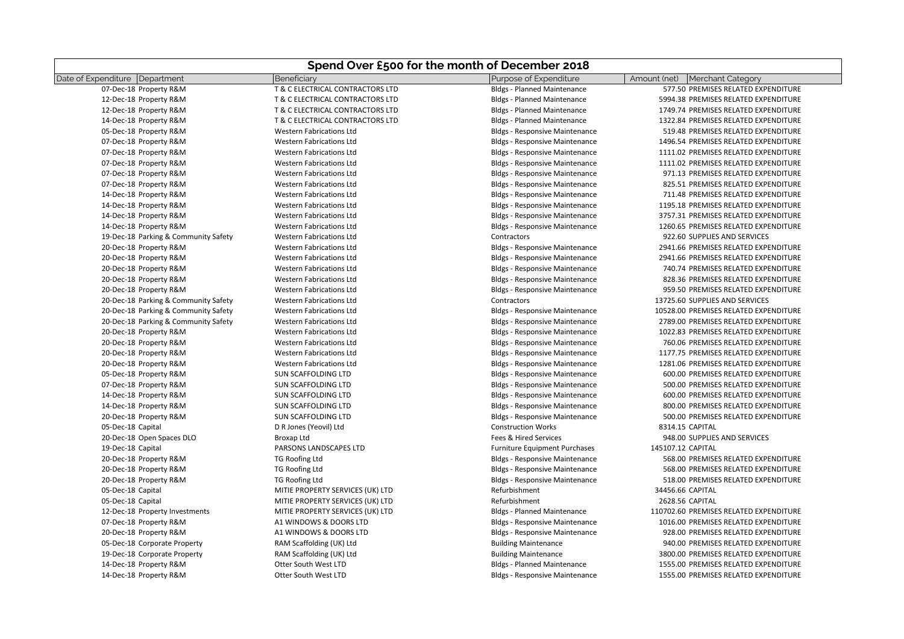| Date of Expenditure Department<br>Purpose of Expenditure<br>Beneficiary<br>Amount (net)<br><b>Merchant Category</b><br>07-Dec-18 Property R&M<br>T & C ELECTRICAL CONTRACTORS LTD<br><b>Bldgs - Planned Maintenance</b><br>577.50 PREMISES RELATED EXPENDITURE<br>12-Dec-18 Property R&M<br>T & C ELECTRICAL CONTRACTORS LTD<br><b>Bldgs - Planned Maintenance</b><br>5994.38 PREMISES RELATED EXPENDITURE<br>12-Dec-18 Property R&M<br>T & C ELECTRICAL CONTRACTORS LTD<br><b>Bldgs - Planned Maintenance</b><br>1749.74 PREMISES RELATED EXPENDITURE<br>14-Dec-18 Property R&M<br>T & C ELECTRICAL CONTRACTORS LTD<br>1322.84 PREMISES RELATED EXPENDITURE<br><b>Bldgs - Planned Maintenance</b><br>05-Dec-18 Property R&M<br><b>Western Fabrications Ltd</b><br>519.48 PREMISES RELATED EXPENDITURE<br><b>Bldgs - Responsive Maintenance</b><br>07-Dec-18 Property R&M<br><b>Western Fabrications Ltd</b><br><b>Bldgs - Responsive Maintenance</b><br>1496.54 PREMISES RELATED EXPENDITURE<br>07-Dec-18 Property R&M<br><b>Western Fabrications Ltd</b><br>1111.02 PREMISES RELATED EXPENDITURE<br><b>Bldgs - Responsive Maintenance</b><br>07-Dec-18 Property R&M<br><b>Western Fabrications Ltd</b><br><b>Bldgs - Responsive Maintenance</b><br>1111.02 PREMISES RELATED EXPENDITURE<br>07-Dec-18 Property R&M<br><b>Western Fabrications Ltd</b><br><b>Bldgs - Responsive Maintenance</b><br>971.13 PREMISES RELATED EXPENDITURE<br>07-Dec-18 Property R&M<br><b>Western Fabrications Ltd</b><br><b>Bldgs - Responsive Maintenance</b><br>825.51 PREMISES RELATED EXPENDITURE<br>14-Dec-18 Property R&M<br><b>Western Fabrications Ltd</b><br><b>Bldgs - Responsive Maintenance</b><br>711.48 PREMISES RELATED EXPENDITURE<br>14-Dec-18 Property R&M<br><b>Western Fabrications Ltd</b><br><b>Bldgs - Responsive Maintenance</b><br>1195.18 PREMISES RELATED EXPENDITURE<br><b>Bldgs - Responsive Maintenance</b><br>3757.31 PREMISES RELATED EXPENDITURE<br>14-Dec-18 Property R&M<br><b>Western Fabrications Ltd</b><br>14-Dec-18 Property R&M<br><b>Western Fabrications Ltd</b><br><b>Bldgs - Responsive Maintenance</b><br>1260.65 PREMISES RELATED EXPENDITURE<br>19-Dec-18 Parking & Community Safety<br><b>Western Fabrications Ltd</b><br>Contractors<br>922.60 SUPPLIES AND SERVICES<br>20-Dec-18 Property R&M<br><b>Western Fabrications Ltd</b><br><b>Bldgs - Responsive Maintenance</b><br>2941.66 PREMISES RELATED EXPENDITURE<br>20-Dec-18 Property R&M<br><b>Western Fabrications Ltd</b><br><b>Bldgs - Responsive Maintenance</b><br>2941.66 PREMISES RELATED EXPENDITURE<br><b>Bldgs - Responsive Maintenance</b><br>20-Dec-18 Property R&M<br><b>Western Fabrications Ltd</b><br>740.74 PREMISES RELATED EXPENDITURE<br>20-Dec-18 Property R&M<br><b>Western Fabrications Ltd</b><br><b>Bldgs - Responsive Maintenance</b><br>828.36 PREMISES RELATED EXPENDITURE<br><b>Bldgs - Responsive Maintenance</b><br>20-Dec-18 Property R&M<br><b>Western Fabrications Ltd</b><br>959.50 PREMISES RELATED EXPENDITURE<br>Contractors<br>20-Dec-18 Parking & Community Safety<br><b>Western Fabrications Ltd</b><br>13725.60 SUPPLIES AND SERVICES<br>20-Dec-18 Parking & Community Safety<br><b>Western Fabrications Ltd</b><br><b>Bldgs - Responsive Maintenance</b><br>10528.00 PREMISES RELATED EXPENDITURE<br>20-Dec-18 Parking & Community Safety<br>2789.00 PREMISES RELATED EXPENDITURE<br><b>Western Fabrications Ltd</b><br><b>Bldgs - Responsive Maintenance</b><br>20-Dec-18 Property R&M<br><b>Bldgs - Responsive Maintenance</b><br>1022.83 PREMISES RELATED EXPENDITURE<br><b>Western Fabrications Ltd</b><br>20-Dec-18 Property R&M<br><b>Western Fabrications Ltd</b><br><b>Bldgs - Responsive Maintenance</b><br>760.06 PREMISES RELATED EXPENDITURE<br>1177.75 PREMISES RELATED EXPENDITURE<br>20-Dec-18 Property R&M<br><b>Western Fabrications Ltd</b><br><b>Bldgs - Responsive Maintenance</b><br>20-Dec-18 Property R&M<br><b>Western Fabrications Ltd</b><br><b>Bldgs - Responsive Maintenance</b><br>1281.06 PREMISES RELATED EXPENDITURE<br>05-Dec-18 Property R&M<br>SUN SCAFFOLDING LTD<br><b>Bldgs - Responsive Maintenance</b><br>600.00 PREMISES RELATED EXPENDITURE<br>SUN SCAFFOLDING LTD<br>500.00 PREMISES RELATED EXPENDITURE<br>07-Dec-18 Property R&M<br><b>Bldgs - Responsive Maintenance</b><br>14-Dec-18 Property R&M<br>SUN SCAFFOLDING LTD<br><b>Bldgs - Responsive Maintenance</b><br>600.00 PREMISES RELATED EXPENDITURE<br><b>SUN SCAFFOLDING LTD</b><br>800.00 PREMISES RELATED EXPENDITURE<br>14-Dec-18 Property R&M<br><b>Bldgs - Responsive Maintenance</b><br>20-Dec-18 Property R&M<br>SUN SCAFFOLDING LTD<br><b>Bldgs - Responsive Maintenance</b><br>500.00 PREMISES RELATED EXPENDITURE<br><b>Construction Works</b><br>8314.15 CAPITAL<br>05-Dec-18 Capital<br>D R Jones (Yeovil) Ltd<br>20-Dec-18 Open Spaces DLO<br>Fees & Hired Services<br>948.00 SUPPLIES AND SERVICES<br>Broxap Ltd<br>PARSONS LANDSCAPES LTD<br>19-Dec-18 Capital<br>Furniture Equipment Purchases<br>145107.12 CAPITAL<br>20-Dec-18 Property R&M<br>TG Roofing Ltd<br><b>Bldgs - Responsive Maintenance</b><br>568.00 PREMISES RELATED EXPENDITURE<br><b>TG Roofing Ltd</b><br>568.00 PREMISES RELATED EXPENDITURE<br>20-Dec-18 Property R&M<br><b>Bldgs - Responsive Maintenance</b><br>518.00 PREMISES RELATED EXPENDITURE<br>20-Dec-18 Property R&M<br><b>TG Roofing Ltd</b><br><b>Bldgs - Responsive Maintenance</b><br>MITIE PROPERTY SERVICES (UK) LTD<br>Refurbishment<br>34456.66 CAPITAL<br>05-Dec-18 Capital<br>05-Dec-18 Capital<br>MITIE PROPERTY SERVICES (UK) LTD<br>Refurbishment<br>2628.56 CAPITAL<br>12-Dec-18 Property Investments<br>MITIE PROPERTY SERVICES (UK) LTD<br><b>Bldgs - Planned Maintenance</b><br>110702.60 PREMISES RELATED EXPENDITURE<br>07-Dec-18 Property R&M<br>A1 WINDOWS & DOORS LTD<br>1016.00 PREMISES RELATED EXPENDITURE<br><b>Bldgs - Responsive Maintenance</b><br>20-Dec-18 Property R&M<br>A1 WINDOWS & DOORS LTD<br><b>Bldgs - Responsive Maintenance</b><br>928.00 PREMISES RELATED EXPENDITURE<br>05-Dec-18 Corporate Property<br>RAM Scaffolding (UK) Ltd<br><b>Building Maintenance</b><br>940.00 PREMISES RELATED EXPENDITURE<br>RAM Scaffolding (UK) Ltd<br>3800.00 PREMISES RELATED EXPENDITURE<br>19-Dec-18 Corporate Property<br><b>Building Maintenance</b><br>Otter South West LTD<br>14-Dec-18 Property R&M<br><b>Bldgs - Planned Maintenance</b><br>1555.00 PREMISES RELATED EXPENDITURE<br>Otter South West LTD<br>1555.00 PREMISES RELATED EXPENDITURE<br>14-Dec-18 Property R&M<br><b>Bldgs - Responsive Maintenance</b> | Spend Over £500 for the month of December 2018 |  |  |  |  |
|---------------------------------------------------------------------------------------------------------------------------------------------------------------------------------------------------------------------------------------------------------------------------------------------------------------------------------------------------------------------------------------------------------------------------------------------------------------------------------------------------------------------------------------------------------------------------------------------------------------------------------------------------------------------------------------------------------------------------------------------------------------------------------------------------------------------------------------------------------------------------------------------------------------------------------------------------------------------------------------------------------------------------------------------------------------------------------------------------------------------------------------------------------------------------------------------------------------------------------------------------------------------------------------------------------------------------------------------------------------------------------------------------------------------------------------------------------------------------------------------------------------------------------------------------------------------------------------------------------------------------------------------------------------------------------------------------------------------------------------------------------------------------------------------------------------------------------------------------------------------------------------------------------------------------------------------------------------------------------------------------------------------------------------------------------------------------------------------------------------------------------------------------------------------------------------------------------------------------------------------------------------------------------------------------------------------------------------------------------------------------------------------------------------------------------------------------------------------------------------------------------------------------------------------------------------------------------------------------------------------------------------------------------------------------------------------------------------------------------------------------------------------------------------------------------------------------------------------------------------------------------------------------------------------------------------------------------------------------------------------------------------------------------------------------------------------------------------------------------------------------------------------------------------------------------------------------------------------------------------------------------------------------------------------------------------------------------------------------------------------------------------------------------------------------------------------------------------------------------------------------------------------------------------------------------------------------------------------------------------------------------------------------------------------------------------------------------------------------------------------------------------------------------------------------------------------------------------------------------------------------------------------------------------------------------------------------------------------------------------------------------------------------------------------------------------------------------------------------------------------------------------------------------------------------------------------------------------------------------------------------------------------------------------------------------------------------------------------------------------------------------------------------------------------------------------------------------------------------------------------------------------------------------------------------------------------------------------------------------------------------------------------------------------------------------------------------------------------------------------------------------------------------------------------------------------------------------------------------------------------------------------------------------------------------------------------------------------------------------------------------------------------------------------------------------------------------------------------------------------------------------------------------------------------------------------------------------------------------------------------------------------------------------------------------------------------------------------------------------------------------------------------------------------------------------------------------------------------------------------------------------------------------------------------------------------------------------------------------------------------------------------------------------------------------------------------------------------------------------------------------------------------------------------------------------------------------------------------------------------------------------------------------------------------------------------------------------------------------------------------------------------------------------------------------------------------------------------------------------------------------------------------------------------------------------------------------------------------------------------------------------------------------------------------------------------------------------------------------------------------------------------------------------------------------------------------------------------------------------------------------------------------------------------------------------------------------------------------------------------------------------------------|------------------------------------------------|--|--|--|--|
|                                                                                                                                                                                                                                                                                                                                                                                                                                                                                                                                                                                                                                                                                                                                                                                                                                                                                                                                                                                                                                                                                                                                                                                                                                                                                                                                                                                                                                                                                                                                                                                                                                                                                                                                                                                                                                                                                                                                                                                                                                                                                                                                                                                                                                                                                                                                                                                                                                                                                                                                                                                                                                                                                                                                                                                                                                                                                                                                                                                                                                                                                                                                                                                                                                                                                                                                                                                                                                                                                                                                                                                                                                                                                                                                                                                                                                                                                                                                                                                                                                                                                                                                                                                                                                                                                                                                                                                                                                                                                                                                                                                                                                                                                                                                                                                                                                                                                                                                                                                                                                                                                                                                                                                                                                                                                                                                                                                                                                                                                                                                                                                                                                                                                                                                                                                                                                                                                                                                                                                                                                                                                                                                                                                                                                                                                                                                                                                                                                                                                                                                                                                                                                             |                                                |  |  |  |  |
|                                                                                                                                                                                                                                                                                                                                                                                                                                                                                                                                                                                                                                                                                                                                                                                                                                                                                                                                                                                                                                                                                                                                                                                                                                                                                                                                                                                                                                                                                                                                                                                                                                                                                                                                                                                                                                                                                                                                                                                                                                                                                                                                                                                                                                                                                                                                                                                                                                                                                                                                                                                                                                                                                                                                                                                                                                                                                                                                                                                                                                                                                                                                                                                                                                                                                                                                                                                                                                                                                                                                                                                                                                                                                                                                                                                                                                                                                                                                                                                                                                                                                                                                                                                                                                                                                                                                                                                                                                                                                                                                                                                                                                                                                                                                                                                                                                                                                                                                                                                                                                                                                                                                                                                                                                                                                                                                                                                                                                                                                                                                                                                                                                                                                                                                                                                                                                                                                                                                                                                                                                                                                                                                                                                                                                                                                                                                                                                                                                                                                                                                                                                                                                             |                                                |  |  |  |  |
|                                                                                                                                                                                                                                                                                                                                                                                                                                                                                                                                                                                                                                                                                                                                                                                                                                                                                                                                                                                                                                                                                                                                                                                                                                                                                                                                                                                                                                                                                                                                                                                                                                                                                                                                                                                                                                                                                                                                                                                                                                                                                                                                                                                                                                                                                                                                                                                                                                                                                                                                                                                                                                                                                                                                                                                                                                                                                                                                                                                                                                                                                                                                                                                                                                                                                                                                                                                                                                                                                                                                                                                                                                                                                                                                                                                                                                                                                                                                                                                                                                                                                                                                                                                                                                                                                                                                                                                                                                                                                                                                                                                                                                                                                                                                                                                                                                                                                                                                                                                                                                                                                                                                                                                                                                                                                                                                                                                                                                                                                                                                                                                                                                                                                                                                                                                                                                                                                                                                                                                                                                                                                                                                                                                                                                                                                                                                                                                                                                                                                                                                                                                                                                             |                                                |  |  |  |  |
|                                                                                                                                                                                                                                                                                                                                                                                                                                                                                                                                                                                                                                                                                                                                                                                                                                                                                                                                                                                                                                                                                                                                                                                                                                                                                                                                                                                                                                                                                                                                                                                                                                                                                                                                                                                                                                                                                                                                                                                                                                                                                                                                                                                                                                                                                                                                                                                                                                                                                                                                                                                                                                                                                                                                                                                                                                                                                                                                                                                                                                                                                                                                                                                                                                                                                                                                                                                                                                                                                                                                                                                                                                                                                                                                                                                                                                                                                                                                                                                                                                                                                                                                                                                                                                                                                                                                                                                                                                                                                                                                                                                                                                                                                                                                                                                                                                                                                                                                                                                                                                                                                                                                                                                                                                                                                                                                                                                                                                                                                                                                                                                                                                                                                                                                                                                                                                                                                                                                                                                                                                                                                                                                                                                                                                                                                                                                                                                                                                                                                                                                                                                                                                             |                                                |  |  |  |  |
|                                                                                                                                                                                                                                                                                                                                                                                                                                                                                                                                                                                                                                                                                                                                                                                                                                                                                                                                                                                                                                                                                                                                                                                                                                                                                                                                                                                                                                                                                                                                                                                                                                                                                                                                                                                                                                                                                                                                                                                                                                                                                                                                                                                                                                                                                                                                                                                                                                                                                                                                                                                                                                                                                                                                                                                                                                                                                                                                                                                                                                                                                                                                                                                                                                                                                                                                                                                                                                                                                                                                                                                                                                                                                                                                                                                                                                                                                                                                                                                                                                                                                                                                                                                                                                                                                                                                                                                                                                                                                                                                                                                                                                                                                                                                                                                                                                                                                                                                                                                                                                                                                                                                                                                                                                                                                                                                                                                                                                                                                                                                                                                                                                                                                                                                                                                                                                                                                                                                                                                                                                                                                                                                                                                                                                                                                                                                                                                                                                                                                                                                                                                                                                             |                                                |  |  |  |  |
|                                                                                                                                                                                                                                                                                                                                                                                                                                                                                                                                                                                                                                                                                                                                                                                                                                                                                                                                                                                                                                                                                                                                                                                                                                                                                                                                                                                                                                                                                                                                                                                                                                                                                                                                                                                                                                                                                                                                                                                                                                                                                                                                                                                                                                                                                                                                                                                                                                                                                                                                                                                                                                                                                                                                                                                                                                                                                                                                                                                                                                                                                                                                                                                                                                                                                                                                                                                                                                                                                                                                                                                                                                                                                                                                                                                                                                                                                                                                                                                                                                                                                                                                                                                                                                                                                                                                                                                                                                                                                                                                                                                                                                                                                                                                                                                                                                                                                                                                                                                                                                                                                                                                                                                                                                                                                                                                                                                                                                                                                                                                                                                                                                                                                                                                                                                                                                                                                                                                                                                                                                                                                                                                                                                                                                                                                                                                                                                                                                                                                                                                                                                                                                             |                                                |  |  |  |  |
|                                                                                                                                                                                                                                                                                                                                                                                                                                                                                                                                                                                                                                                                                                                                                                                                                                                                                                                                                                                                                                                                                                                                                                                                                                                                                                                                                                                                                                                                                                                                                                                                                                                                                                                                                                                                                                                                                                                                                                                                                                                                                                                                                                                                                                                                                                                                                                                                                                                                                                                                                                                                                                                                                                                                                                                                                                                                                                                                                                                                                                                                                                                                                                                                                                                                                                                                                                                                                                                                                                                                                                                                                                                                                                                                                                                                                                                                                                                                                                                                                                                                                                                                                                                                                                                                                                                                                                                                                                                                                                                                                                                                                                                                                                                                                                                                                                                                                                                                                                                                                                                                                                                                                                                                                                                                                                                                                                                                                                                                                                                                                                                                                                                                                                                                                                                                                                                                                                                                                                                                                                                                                                                                                                                                                                                                                                                                                                                                                                                                                                                                                                                                                                             |                                                |  |  |  |  |
|                                                                                                                                                                                                                                                                                                                                                                                                                                                                                                                                                                                                                                                                                                                                                                                                                                                                                                                                                                                                                                                                                                                                                                                                                                                                                                                                                                                                                                                                                                                                                                                                                                                                                                                                                                                                                                                                                                                                                                                                                                                                                                                                                                                                                                                                                                                                                                                                                                                                                                                                                                                                                                                                                                                                                                                                                                                                                                                                                                                                                                                                                                                                                                                                                                                                                                                                                                                                                                                                                                                                                                                                                                                                                                                                                                                                                                                                                                                                                                                                                                                                                                                                                                                                                                                                                                                                                                                                                                                                                                                                                                                                                                                                                                                                                                                                                                                                                                                                                                                                                                                                                                                                                                                                                                                                                                                                                                                                                                                                                                                                                                                                                                                                                                                                                                                                                                                                                                                                                                                                                                                                                                                                                                                                                                                                                                                                                                                                                                                                                                                                                                                                                                             |                                                |  |  |  |  |
|                                                                                                                                                                                                                                                                                                                                                                                                                                                                                                                                                                                                                                                                                                                                                                                                                                                                                                                                                                                                                                                                                                                                                                                                                                                                                                                                                                                                                                                                                                                                                                                                                                                                                                                                                                                                                                                                                                                                                                                                                                                                                                                                                                                                                                                                                                                                                                                                                                                                                                                                                                                                                                                                                                                                                                                                                                                                                                                                                                                                                                                                                                                                                                                                                                                                                                                                                                                                                                                                                                                                                                                                                                                                                                                                                                                                                                                                                                                                                                                                                                                                                                                                                                                                                                                                                                                                                                                                                                                                                                                                                                                                                                                                                                                                                                                                                                                                                                                                                                                                                                                                                                                                                                                                                                                                                                                                                                                                                                                                                                                                                                                                                                                                                                                                                                                                                                                                                                                                                                                                                                                                                                                                                                                                                                                                                                                                                                                                                                                                                                                                                                                                                                             |                                                |  |  |  |  |
|                                                                                                                                                                                                                                                                                                                                                                                                                                                                                                                                                                                                                                                                                                                                                                                                                                                                                                                                                                                                                                                                                                                                                                                                                                                                                                                                                                                                                                                                                                                                                                                                                                                                                                                                                                                                                                                                                                                                                                                                                                                                                                                                                                                                                                                                                                                                                                                                                                                                                                                                                                                                                                                                                                                                                                                                                                                                                                                                                                                                                                                                                                                                                                                                                                                                                                                                                                                                                                                                                                                                                                                                                                                                                                                                                                                                                                                                                                                                                                                                                                                                                                                                                                                                                                                                                                                                                                                                                                                                                                                                                                                                                                                                                                                                                                                                                                                                                                                                                                                                                                                                                                                                                                                                                                                                                                                                                                                                                                                                                                                                                                                                                                                                                                                                                                                                                                                                                                                                                                                                                                                                                                                                                                                                                                                                                                                                                                                                                                                                                                                                                                                                                                             |                                                |  |  |  |  |
|                                                                                                                                                                                                                                                                                                                                                                                                                                                                                                                                                                                                                                                                                                                                                                                                                                                                                                                                                                                                                                                                                                                                                                                                                                                                                                                                                                                                                                                                                                                                                                                                                                                                                                                                                                                                                                                                                                                                                                                                                                                                                                                                                                                                                                                                                                                                                                                                                                                                                                                                                                                                                                                                                                                                                                                                                                                                                                                                                                                                                                                                                                                                                                                                                                                                                                                                                                                                                                                                                                                                                                                                                                                                                                                                                                                                                                                                                                                                                                                                                                                                                                                                                                                                                                                                                                                                                                                                                                                                                                                                                                                                                                                                                                                                                                                                                                                                                                                                                                                                                                                                                                                                                                                                                                                                                                                                                                                                                                                                                                                                                                                                                                                                                                                                                                                                                                                                                                                                                                                                                                                                                                                                                                                                                                                                                                                                                                                                                                                                                                                                                                                                                                             |                                                |  |  |  |  |
|                                                                                                                                                                                                                                                                                                                                                                                                                                                                                                                                                                                                                                                                                                                                                                                                                                                                                                                                                                                                                                                                                                                                                                                                                                                                                                                                                                                                                                                                                                                                                                                                                                                                                                                                                                                                                                                                                                                                                                                                                                                                                                                                                                                                                                                                                                                                                                                                                                                                                                                                                                                                                                                                                                                                                                                                                                                                                                                                                                                                                                                                                                                                                                                                                                                                                                                                                                                                                                                                                                                                                                                                                                                                                                                                                                                                                                                                                                                                                                                                                                                                                                                                                                                                                                                                                                                                                                                                                                                                                                                                                                                                                                                                                                                                                                                                                                                                                                                                                                                                                                                                                                                                                                                                                                                                                                                                                                                                                                                                                                                                                                                                                                                                                                                                                                                                                                                                                                                                                                                                                                                                                                                                                                                                                                                                                                                                                                                                                                                                                                                                                                                                                                             |                                                |  |  |  |  |
|                                                                                                                                                                                                                                                                                                                                                                                                                                                                                                                                                                                                                                                                                                                                                                                                                                                                                                                                                                                                                                                                                                                                                                                                                                                                                                                                                                                                                                                                                                                                                                                                                                                                                                                                                                                                                                                                                                                                                                                                                                                                                                                                                                                                                                                                                                                                                                                                                                                                                                                                                                                                                                                                                                                                                                                                                                                                                                                                                                                                                                                                                                                                                                                                                                                                                                                                                                                                                                                                                                                                                                                                                                                                                                                                                                                                                                                                                                                                                                                                                                                                                                                                                                                                                                                                                                                                                                                                                                                                                                                                                                                                                                                                                                                                                                                                                                                                                                                                                                                                                                                                                                                                                                                                                                                                                                                                                                                                                                                                                                                                                                                                                                                                                                                                                                                                                                                                                                                                                                                                                                                                                                                                                                                                                                                                                                                                                                                                                                                                                                                                                                                                                                             |                                                |  |  |  |  |
|                                                                                                                                                                                                                                                                                                                                                                                                                                                                                                                                                                                                                                                                                                                                                                                                                                                                                                                                                                                                                                                                                                                                                                                                                                                                                                                                                                                                                                                                                                                                                                                                                                                                                                                                                                                                                                                                                                                                                                                                                                                                                                                                                                                                                                                                                                                                                                                                                                                                                                                                                                                                                                                                                                                                                                                                                                                                                                                                                                                                                                                                                                                                                                                                                                                                                                                                                                                                                                                                                                                                                                                                                                                                                                                                                                                                                                                                                                                                                                                                                                                                                                                                                                                                                                                                                                                                                                                                                                                                                                                                                                                                                                                                                                                                                                                                                                                                                                                                                                                                                                                                                                                                                                                                                                                                                                                                                                                                                                                                                                                                                                                                                                                                                                                                                                                                                                                                                                                                                                                                                                                                                                                                                                                                                                                                                                                                                                                                                                                                                                                                                                                                                                             |                                                |  |  |  |  |
|                                                                                                                                                                                                                                                                                                                                                                                                                                                                                                                                                                                                                                                                                                                                                                                                                                                                                                                                                                                                                                                                                                                                                                                                                                                                                                                                                                                                                                                                                                                                                                                                                                                                                                                                                                                                                                                                                                                                                                                                                                                                                                                                                                                                                                                                                                                                                                                                                                                                                                                                                                                                                                                                                                                                                                                                                                                                                                                                                                                                                                                                                                                                                                                                                                                                                                                                                                                                                                                                                                                                                                                                                                                                                                                                                                                                                                                                                                                                                                                                                                                                                                                                                                                                                                                                                                                                                                                                                                                                                                                                                                                                                                                                                                                                                                                                                                                                                                                                                                                                                                                                                                                                                                                                                                                                                                                                                                                                                                                                                                                                                                                                                                                                                                                                                                                                                                                                                                                                                                                                                                                                                                                                                                                                                                                                                                                                                                                                                                                                                                                                                                                                                                             |                                                |  |  |  |  |
|                                                                                                                                                                                                                                                                                                                                                                                                                                                                                                                                                                                                                                                                                                                                                                                                                                                                                                                                                                                                                                                                                                                                                                                                                                                                                                                                                                                                                                                                                                                                                                                                                                                                                                                                                                                                                                                                                                                                                                                                                                                                                                                                                                                                                                                                                                                                                                                                                                                                                                                                                                                                                                                                                                                                                                                                                                                                                                                                                                                                                                                                                                                                                                                                                                                                                                                                                                                                                                                                                                                                                                                                                                                                                                                                                                                                                                                                                                                                                                                                                                                                                                                                                                                                                                                                                                                                                                                                                                                                                                                                                                                                                                                                                                                                                                                                                                                                                                                                                                                                                                                                                                                                                                                                                                                                                                                                                                                                                                                                                                                                                                                                                                                                                                                                                                                                                                                                                                                                                                                                                                                                                                                                                                                                                                                                                                                                                                                                                                                                                                                                                                                                                                             |                                                |  |  |  |  |
|                                                                                                                                                                                                                                                                                                                                                                                                                                                                                                                                                                                                                                                                                                                                                                                                                                                                                                                                                                                                                                                                                                                                                                                                                                                                                                                                                                                                                                                                                                                                                                                                                                                                                                                                                                                                                                                                                                                                                                                                                                                                                                                                                                                                                                                                                                                                                                                                                                                                                                                                                                                                                                                                                                                                                                                                                                                                                                                                                                                                                                                                                                                                                                                                                                                                                                                                                                                                                                                                                                                                                                                                                                                                                                                                                                                                                                                                                                                                                                                                                                                                                                                                                                                                                                                                                                                                                                                                                                                                                                                                                                                                                                                                                                                                                                                                                                                                                                                                                                                                                                                                                                                                                                                                                                                                                                                                                                                                                                                                                                                                                                                                                                                                                                                                                                                                                                                                                                                                                                                                                                                                                                                                                                                                                                                                                                                                                                                                                                                                                                                                                                                                                                             |                                                |  |  |  |  |
|                                                                                                                                                                                                                                                                                                                                                                                                                                                                                                                                                                                                                                                                                                                                                                                                                                                                                                                                                                                                                                                                                                                                                                                                                                                                                                                                                                                                                                                                                                                                                                                                                                                                                                                                                                                                                                                                                                                                                                                                                                                                                                                                                                                                                                                                                                                                                                                                                                                                                                                                                                                                                                                                                                                                                                                                                                                                                                                                                                                                                                                                                                                                                                                                                                                                                                                                                                                                                                                                                                                                                                                                                                                                                                                                                                                                                                                                                                                                                                                                                                                                                                                                                                                                                                                                                                                                                                                                                                                                                                                                                                                                                                                                                                                                                                                                                                                                                                                                                                                                                                                                                                                                                                                                                                                                                                                                                                                                                                                                                                                                                                                                                                                                                                                                                                                                                                                                                                                                                                                                                                                                                                                                                                                                                                                                                                                                                                                                                                                                                                                                                                                                                                             |                                                |  |  |  |  |
|                                                                                                                                                                                                                                                                                                                                                                                                                                                                                                                                                                                                                                                                                                                                                                                                                                                                                                                                                                                                                                                                                                                                                                                                                                                                                                                                                                                                                                                                                                                                                                                                                                                                                                                                                                                                                                                                                                                                                                                                                                                                                                                                                                                                                                                                                                                                                                                                                                                                                                                                                                                                                                                                                                                                                                                                                                                                                                                                                                                                                                                                                                                                                                                                                                                                                                                                                                                                                                                                                                                                                                                                                                                                                                                                                                                                                                                                                                                                                                                                                                                                                                                                                                                                                                                                                                                                                                                                                                                                                                                                                                                                                                                                                                                                                                                                                                                                                                                                                                                                                                                                                                                                                                                                                                                                                                                                                                                                                                                                                                                                                                                                                                                                                                                                                                                                                                                                                                                                                                                                                                                                                                                                                                                                                                                                                                                                                                                                                                                                                                                                                                                                                                             |                                                |  |  |  |  |
|                                                                                                                                                                                                                                                                                                                                                                                                                                                                                                                                                                                                                                                                                                                                                                                                                                                                                                                                                                                                                                                                                                                                                                                                                                                                                                                                                                                                                                                                                                                                                                                                                                                                                                                                                                                                                                                                                                                                                                                                                                                                                                                                                                                                                                                                                                                                                                                                                                                                                                                                                                                                                                                                                                                                                                                                                                                                                                                                                                                                                                                                                                                                                                                                                                                                                                                                                                                                                                                                                                                                                                                                                                                                                                                                                                                                                                                                                                                                                                                                                                                                                                                                                                                                                                                                                                                                                                                                                                                                                                                                                                                                                                                                                                                                                                                                                                                                                                                                                                                                                                                                                                                                                                                                                                                                                                                                                                                                                                                                                                                                                                                                                                                                                                                                                                                                                                                                                                                                                                                                                                                                                                                                                                                                                                                                                                                                                                                                                                                                                                                                                                                                                                             |                                                |  |  |  |  |
|                                                                                                                                                                                                                                                                                                                                                                                                                                                                                                                                                                                                                                                                                                                                                                                                                                                                                                                                                                                                                                                                                                                                                                                                                                                                                                                                                                                                                                                                                                                                                                                                                                                                                                                                                                                                                                                                                                                                                                                                                                                                                                                                                                                                                                                                                                                                                                                                                                                                                                                                                                                                                                                                                                                                                                                                                                                                                                                                                                                                                                                                                                                                                                                                                                                                                                                                                                                                                                                                                                                                                                                                                                                                                                                                                                                                                                                                                                                                                                                                                                                                                                                                                                                                                                                                                                                                                                                                                                                                                                                                                                                                                                                                                                                                                                                                                                                                                                                                                                                                                                                                                                                                                                                                                                                                                                                                                                                                                                                                                                                                                                                                                                                                                                                                                                                                                                                                                                                                                                                                                                                                                                                                                                                                                                                                                                                                                                                                                                                                                                                                                                                                                                             |                                                |  |  |  |  |
|                                                                                                                                                                                                                                                                                                                                                                                                                                                                                                                                                                                                                                                                                                                                                                                                                                                                                                                                                                                                                                                                                                                                                                                                                                                                                                                                                                                                                                                                                                                                                                                                                                                                                                                                                                                                                                                                                                                                                                                                                                                                                                                                                                                                                                                                                                                                                                                                                                                                                                                                                                                                                                                                                                                                                                                                                                                                                                                                                                                                                                                                                                                                                                                                                                                                                                                                                                                                                                                                                                                                                                                                                                                                                                                                                                                                                                                                                                                                                                                                                                                                                                                                                                                                                                                                                                                                                                                                                                                                                                                                                                                                                                                                                                                                                                                                                                                                                                                                                                                                                                                                                                                                                                                                                                                                                                                                                                                                                                                                                                                                                                                                                                                                                                                                                                                                                                                                                                                                                                                                                                                                                                                                                                                                                                                                                                                                                                                                                                                                                                                                                                                                                                             |                                                |  |  |  |  |
|                                                                                                                                                                                                                                                                                                                                                                                                                                                                                                                                                                                                                                                                                                                                                                                                                                                                                                                                                                                                                                                                                                                                                                                                                                                                                                                                                                                                                                                                                                                                                                                                                                                                                                                                                                                                                                                                                                                                                                                                                                                                                                                                                                                                                                                                                                                                                                                                                                                                                                                                                                                                                                                                                                                                                                                                                                                                                                                                                                                                                                                                                                                                                                                                                                                                                                                                                                                                                                                                                                                                                                                                                                                                                                                                                                                                                                                                                                                                                                                                                                                                                                                                                                                                                                                                                                                                                                                                                                                                                                                                                                                                                                                                                                                                                                                                                                                                                                                                                                                                                                                                                                                                                                                                                                                                                                                                                                                                                                                                                                                                                                                                                                                                                                                                                                                                                                                                                                                                                                                                                                                                                                                                                                                                                                                                                                                                                                                                                                                                                                                                                                                                                                             |                                                |  |  |  |  |
|                                                                                                                                                                                                                                                                                                                                                                                                                                                                                                                                                                                                                                                                                                                                                                                                                                                                                                                                                                                                                                                                                                                                                                                                                                                                                                                                                                                                                                                                                                                                                                                                                                                                                                                                                                                                                                                                                                                                                                                                                                                                                                                                                                                                                                                                                                                                                                                                                                                                                                                                                                                                                                                                                                                                                                                                                                                                                                                                                                                                                                                                                                                                                                                                                                                                                                                                                                                                                                                                                                                                                                                                                                                                                                                                                                                                                                                                                                                                                                                                                                                                                                                                                                                                                                                                                                                                                                                                                                                                                                                                                                                                                                                                                                                                                                                                                                                                                                                                                                                                                                                                                                                                                                                                                                                                                                                                                                                                                                                                                                                                                                                                                                                                                                                                                                                                                                                                                                                                                                                                                                                                                                                                                                                                                                                                                                                                                                                                                                                                                                                                                                                                                                             |                                                |  |  |  |  |
|                                                                                                                                                                                                                                                                                                                                                                                                                                                                                                                                                                                                                                                                                                                                                                                                                                                                                                                                                                                                                                                                                                                                                                                                                                                                                                                                                                                                                                                                                                                                                                                                                                                                                                                                                                                                                                                                                                                                                                                                                                                                                                                                                                                                                                                                                                                                                                                                                                                                                                                                                                                                                                                                                                                                                                                                                                                                                                                                                                                                                                                                                                                                                                                                                                                                                                                                                                                                                                                                                                                                                                                                                                                                                                                                                                                                                                                                                                                                                                                                                                                                                                                                                                                                                                                                                                                                                                                                                                                                                                                                                                                                                                                                                                                                                                                                                                                                                                                                                                                                                                                                                                                                                                                                                                                                                                                                                                                                                                                                                                                                                                                                                                                                                                                                                                                                                                                                                                                                                                                                                                                                                                                                                                                                                                                                                                                                                                                                                                                                                                                                                                                                                                             |                                                |  |  |  |  |
|                                                                                                                                                                                                                                                                                                                                                                                                                                                                                                                                                                                                                                                                                                                                                                                                                                                                                                                                                                                                                                                                                                                                                                                                                                                                                                                                                                                                                                                                                                                                                                                                                                                                                                                                                                                                                                                                                                                                                                                                                                                                                                                                                                                                                                                                                                                                                                                                                                                                                                                                                                                                                                                                                                                                                                                                                                                                                                                                                                                                                                                                                                                                                                                                                                                                                                                                                                                                                                                                                                                                                                                                                                                                                                                                                                                                                                                                                                                                                                                                                                                                                                                                                                                                                                                                                                                                                                                                                                                                                                                                                                                                                                                                                                                                                                                                                                                                                                                                                                                                                                                                                                                                                                                                                                                                                                                                                                                                                                                                                                                                                                                                                                                                                                                                                                                                                                                                                                                                                                                                                                                                                                                                                                                                                                                                                                                                                                                                                                                                                                                                                                                                                                             |                                                |  |  |  |  |
|                                                                                                                                                                                                                                                                                                                                                                                                                                                                                                                                                                                                                                                                                                                                                                                                                                                                                                                                                                                                                                                                                                                                                                                                                                                                                                                                                                                                                                                                                                                                                                                                                                                                                                                                                                                                                                                                                                                                                                                                                                                                                                                                                                                                                                                                                                                                                                                                                                                                                                                                                                                                                                                                                                                                                                                                                                                                                                                                                                                                                                                                                                                                                                                                                                                                                                                                                                                                                                                                                                                                                                                                                                                                                                                                                                                                                                                                                                                                                                                                                                                                                                                                                                                                                                                                                                                                                                                                                                                                                                                                                                                                                                                                                                                                                                                                                                                                                                                                                                                                                                                                                                                                                                                                                                                                                                                                                                                                                                                                                                                                                                                                                                                                                                                                                                                                                                                                                                                                                                                                                                                                                                                                                                                                                                                                                                                                                                                                                                                                                                                                                                                                                                             |                                                |  |  |  |  |
|                                                                                                                                                                                                                                                                                                                                                                                                                                                                                                                                                                                                                                                                                                                                                                                                                                                                                                                                                                                                                                                                                                                                                                                                                                                                                                                                                                                                                                                                                                                                                                                                                                                                                                                                                                                                                                                                                                                                                                                                                                                                                                                                                                                                                                                                                                                                                                                                                                                                                                                                                                                                                                                                                                                                                                                                                                                                                                                                                                                                                                                                                                                                                                                                                                                                                                                                                                                                                                                                                                                                                                                                                                                                                                                                                                                                                                                                                                                                                                                                                                                                                                                                                                                                                                                                                                                                                                                                                                                                                                                                                                                                                                                                                                                                                                                                                                                                                                                                                                                                                                                                                                                                                                                                                                                                                                                                                                                                                                                                                                                                                                                                                                                                                                                                                                                                                                                                                                                                                                                                                                                                                                                                                                                                                                                                                                                                                                                                                                                                                                                                                                                                                                             |                                                |  |  |  |  |
|                                                                                                                                                                                                                                                                                                                                                                                                                                                                                                                                                                                                                                                                                                                                                                                                                                                                                                                                                                                                                                                                                                                                                                                                                                                                                                                                                                                                                                                                                                                                                                                                                                                                                                                                                                                                                                                                                                                                                                                                                                                                                                                                                                                                                                                                                                                                                                                                                                                                                                                                                                                                                                                                                                                                                                                                                                                                                                                                                                                                                                                                                                                                                                                                                                                                                                                                                                                                                                                                                                                                                                                                                                                                                                                                                                                                                                                                                                                                                                                                                                                                                                                                                                                                                                                                                                                                                                                                                                                                                                                                                                                                                                                                                                                                                                                                                                                                                                                                                                                                                                                                                                                                                                                                                                                                                                                                                                                                                                                                                                                                                                                                                                                                                                                                                                                                                                                                                                                                                                                                                                                                                                                                                                                                                                                                                                                                                                                                                                                                                                                                                                                                                                             |                                                |  |  |  |  |
|                                                                                                                                                                                                                                                                                                                                                                                                                                                                                                                                                                                                                                                                                                                                                                                                                                                                                                                                                                                                                                                                                                                                                                                                                                                                                                                                                                                                                                                                                                                                                                                                                                                                                                                                                                                                                                                                                                                                                                                                                                                                                                                                                                                                                                                                                                                                                                                                                                                                                                                                                                                                                                                                                                                                                                                                                                                                                                                                                                                                                                                                                                                                                                                                                                                                                                                                                                                                                                                                                                                                                                                                                                                                                                                                                                                                                                                                                                                                                                                                                                                                                                                                                                                                                                                                                                                                                                                                                                                                                                                                                                                                                                                                                                                                                                                                                                                                                                                                                                                                                                                                                                                                                                                                                                                                                                                                                                                                                                                                                                                                                                                                                                                                                                                                                                                                                                                                                                                                                                                                                                                                                                                                                                                                                                                                                                                                                                                                                                                                                                                                                                                                                                             |                                                |  |  |  |  |
|                                                                                                                                                                                                                                                                                                                                                                                                                                                                                                                                                                                                                                                                                                                                                                                                                                                                                                                                                                                                                                                                                                                                                                                                                                                                                                                                                                                                                                                                                                                                                                                                                                                                                                                                                                                                                                                                                                                                                                                                                                                                                                                                                                                                                                                                                                                                                                                                                                                                                                                                                                                                                                                                                                                                                                                                                                                                                                                                                                                                                                                                                                                                                                                                                                                                                                                                                                                                                                                                                                                                                                                                                                                                                                                                                                                                                                                                                                                                                                                                                                                                                                                                                                                                                                                                                                                                                                                                                                                                                                                                                                                                                                                                                                                                                                                                                                                                                                                                                                                                                                                                                                                                                                                                                                                                                                                                                                                                                                                                                                                                                                                                                                                                                                                                                                                                                                                                                                                                                                                                                                                                                                                                                                                                                                                                                                                                                                                                                                                                                                                                                                                                                                             |                                                |  |  |  |  |
|                                                                                                                                                                                                                                                                                                                                                                                                                                                                                                                                                                                                                                                                                                                                                                                                                                                                                                                                                                                                                                                                                                                                                                                                                                                                                                                                                                                                                                                                                                                                                                                                                                                                                                                                                                                                                                                                                                                                                                                                                                                                                                                                                                                                                                                                                                                                                                                                                                                                                                                                                                                                                                                                                                                                                                                                                                                                                                                                                                                                                                                                                                                                                                                                                                                                                                                                                                                                                                                                                                                                                                                                                                                                                                                                                                                                                                                                                                                                                                                                                                                                                                                                                                                                                                                                                                                                                                                                                                                                                                                                                                                                                                                                                                                                                                                                                                                                                                                                                                                                                                                                                                                                                                                                                                                                                                                                                                                                                                                                                                                                                                                                                                                                                                                                                                                                                                                                                                                                                                                                                                                                                                                                                                                                                                                                                                                                                                                                                                                                                                                                                                                                                                             |                                                |  |  |  |  |
|                                                                                                                                                                                                                                                                                                                                                                                                                                                                                                                                                                                                                                                                                                                                                                                                                                                                                                                                                                                                                                                                                                                                                                                                                                                                                                                                                                                                                                                                                                                                                                                                                                                                                                                                                                                                                                                                                                                                                                                                                                                                                                                                                                                                                                                                                                                                                                                                                                                                                                                                                                                                                                                                                                                                                                                                                                                                                                                                                                                                                                                                                                                                                                                                                                                                                                                                                                                                                                                                                                                                                                                                                                                                                                                                                                                                                                                                                                                                                                                                                                                                                                                                                                                                                                                                                                                                                                                                                                                                                                                                                                                                                                                                                                                                                                                                                                                                                                                                                                                                                                                                                                                                                                                                                                                                                                                                                                                                                                                                                                                                                                                                                                                                                                                                                                                                                                                                                                                                                                                                                                                                                                                                                                                                                                                                                                                                                                                                                                                                                                                                                                                                                                             |                                                |  |  |  |  |
|                                                                                                                                                                                                                                                                                                                                                                                                                                                                                                                                                                                                                                                                                                                                                                                                                                                                                                                                                                                                                                                                                                                                                                                                                                                                                                                                                                                                                                                                                                                                                                                                                                                                                                                                                                                                                                                                                                                                                                                                                                                                                                                                                                                                                                                                                                                                                                                                                                                                                                                                                                                                                                                                                                                                                                                                                                                                                                                                                                                                                                                                                                                                                                                                                                                                                                                                                                                                                                                                                                                                                                                                                                                                                                                                                                                                                                                                                                                                                                                                                                                                                                                                                                                                                                                                                                                                                                                                                                                                                                                                                                                                                                                                                                                                                                                                                                                                                                                                                                                                                                                                                                                                                                                                                                                                                                                                                                                                                                                                                                                                                                                                                                                                                                                                                                                                                                                                                                                                                                                                                                                                                                                                                                                                                                                                                                                                                                                                                                                                                                                                                                                                                                             |                                                |  |  |  |  |
|                                                                                                                                                                                                                                                                                                                                                                                                                                                                                                                                                                                                                                                                                                                                                                                                                                                                                                                                                                                                                                                                                                                                                                                                                                                                                                                                                                                                                                                                                                                                                                                                                                                                                                                                                                                                                                                                                                                                                                                                                                                                                                                                                                                                                                                                                                                                                                                                                                                                                                                                                                                                                                                                                                                                                                                                                                                                                                                                                                                                                                                                                                                                                                                                                                                                                                                                                                                                                                                                                                                                                                                                                                                                                                                                                                                                                                                                                                                                                                                                                                                                                                                                                                                                                                                                                                                                                                                                                                                                                                                                                                                                                                                                                                                                                                                                                                                                                                                                                                                                                                                                                                                                                                                                                                                                                                                                                                                                                                                                                                                                                                                                                                                                                                                                                                                                                                                                                                                                                                                                                                                                                                                                                                                                                                                                                                                                                                                                                                                                                                                                                                                                                                             |                                                |  |  |  |  |
|                                                                                                                                                                                                                                                                                                                                                                                                                                                                                                                                                                                                                                                                                                                                                                                                                                                                                                                                                                                                                                                                                                                                                                                                                                                                                                                                                                                                                                                                                                                                                                                                                                                                                                                                                                                                                                                                                                                                                                                                                                                                                                                                                                                                                                                                                                                                                                                                                                                                                                                                                                                                                                                                                                                                                                                                                                                                                                                                                                                                                                                                                                                                                                                                                                                                                                                                                                                                                                                                                                                                                                                                                                                                                                                                                                                                                                                                                                                                                                                                                                                                                                                                                                                                                                                                                                                                                                                                                                                                                                                                                                                                                                                                                                                                                                                                                                                                                                                                                                                                                                                                                                                                                                                                                                                                                                                                                                                                                                                                                                                                                                                                                                                                                                                                                                                                                                                                                                                                                                                                                                                                                                                                                                                                                                                                                                                                                                                                                                                                                                                                                                                                                                             |                                                |  |  |  |  |
|                                                                                                                                                                                                                                                                                                                                                                                                                                                                                                                                                                                                                                                                                                                                                                                                                                                                                                                                                                                                                                                                                                                                                                                                                                                                                                                                                                                                                                                                                                                                                                                                                                                                                                                                                                                                                                                                                                                                                                                                                                                                                                                                                                                                                                                                                                                                                                                                                                                                                                                                                                                                                                                                                                                                                                                                                                                                                                                                                                                                                                                                                                                                                                                                                                                                                                                                                                                                                                                                                                                                                                                                                                                                                                                                                                                                                                                                                                                                                                                                                                                                                                                                                                                                                                                                                                                                                                                                                                                                                                                                                                                                                                                                                                                                                                                                                                                                                                                                                                                                                                                                                                                                                                                                                                                                                                                                                                                                                                                                                                                                                                                                                                                                                                                                                                                                                                                                                                                                                                                                                                                                                                                                                                                                                                                                                                                                                                                                                                                                                                                                                                                                                                             |                                                |  |  |  |  |
|                                                                                                                                                                                                                                                                                                                                                                                                                                                                                                                                                                                                                                                                                                                                                                                                                                                                                                                                                                                                                                                                                                                                                                                                                                                                                                                                                                                                                                                                                                                                                                                                                                                                                                                                                                                                                                                                                                                                                                                                                                                                                                                                                                                                                                                                                                                                                                                                                                                                                                                                                                                                                                                                                                                                                                                                                                                                                                                                                                                                                                                                                                                                                                                                                                                                                                                                                                                                                                                                                                                                                                                                                                                                                                                                                                                                                                                                                                                                                                                                                                                                                                                                                                                                                                                                                                                                                                                                                                                                                                                                                                                                                                                                                                                                                                                                                                                                                                                                                                                                                                                                                                                                                                                                                                                                                                                                                                                                                                                                                                                                                                                                                                                                                                                                                                                                                                                                                                                                                                                                                                                                                                                                                                                                                                                                                                                                                                                                                                                                                                                                                                                                                                             |                                                |  |  |  |  |
|                                                                                                                                                                                                                                                                                                                                                                                                                                                                                                                                                                                                                                                                                                                                                                                                                                                                                                                                                                                                                                                                                                                                                                                                                                                                                                                                                                                                                                                                                                                                                                                                                                                                                                                                                                                                                                                                                                                                                                                                                                                                                                                                                                                                                                                                                                                                                                                                                                                                                                                                                                                                                                                                                                                                                                                                                                                                                                                                                                                                                                                                                                                                                                                                                                                                                                                                                                                                                                                                                                                                                                                                                                                                                                                                                                                                                                                                                                                                                                                                                                                                                                                                                                                                                                                                                                                                                                                                                                                                                                                                                                                                                                                                                                                                                                                                                                                                                                                                                                                                                                                                                                                                                                                                                                                                                                                                                                                                                                                                                                                                                                                                                                                                                                                                                                                                                                                                                                                                                                                                                                                                                                                                                                                                                                                                                                                                                                                                                                                                                                                                                                                                                                             |                                                |  |  |  |  |
|                                                                                                                                                                                                                                                                                                                                                                                                                                                                                                                                                                                                                                                                                                                                                                                                                                                                                                                                                                                                                                                                                                                                                                                                                                                                                                                                                                                                                                                                                                                                                                                                                                                                                                                                                                                                                                                                                                                                                                                                                                                                                                                                                                                                                                                                                                                                                                                                                                                                                                                                                                                                                                                                                                                                                                                                                                                                                                                                                                                                                                                                                                                                                                                                                                                                                                                                                                                                                                                                                                                                                                                                                                                                                                                                                                                                                                                                                                                                                                                                                                                                                                                                                                                                                                                                                                                                                                                                                                                                                                                                                                                                                                                                                                                                                                                                                                                                                                                                                                                                                                                                                                                                                                                                                                                                                                                                                                                                                                                                                                                                                                                                                                                                                                                                                                                                                                                                                                                                                                                                                                                                                                                                                                                                                                                                                                                                                                                                                                                                                                                                                                                                                                             |                                                |  |  |  |  |
|                                                                                                                                                                                                                                                                                                                                                                                                                                                                                                                                                                                                                                                                                                                                                                                                                                                                                                                                                                                                                                                                                                                                                                                                                                                                                                                                                                                                                                                                                                                                                                                                                                                                                                                                                                                                                                                                                                                                                                                                                                                                                                                                                                                                                                                                                                                                                                                                                                                                                                                                                                                                                                                                                                                                                                                                                                                                                                                                                                                                                                                                                                                                                                                                                                                                                                                                                                                                                                                                                                                                                                                                                                                                                                                                                                                                                                                                                                                                                                                                                                                                                                                                                                                                                                                                                                                                                                                                                                                                                                                                                                                                                                                                                                                                                                                                                                                                                                                                                                                                                                                                                                                                                                                                                                                                                                                                                                                                                                                                                                                                                                                                                                                                                                                                                                                                                                                                                                                                                                                                                                                                                                                                                                                                                                                                                                                                                                                                                                                                                                                                                                                                                                             |                                                |  |  |  |  |
|                                                                                                                                                                                                                                                                                                                                                                                                                                                                                                                                                                                                                                                                                                                                                                                                                                                                                                                                                                                                                                                                                                                                                                                                                                                                                                                                                                                                                                                                                                                                                                                                                                                                                                                                                                                                                                                                                                                                                                                                                                                                                                                                                                                                                                                                                                                                                                                                                                                                                                                                                                                                                                                                                                                                                                                                                                                                                                                                                                                                                                                                                                                                                                                                                                                                                                                                                                                                                                                                                                                                                                                                                                                                                                                                                                                                                                                                                                                                                                                                                                                                                                                                                                                                                                                                                                                                                                                                                                                                                                                                                                                                                                                                                                                                                                                                                                                                                                                                                                                                                                                                                                                                                                                                                                                                                                                                                                                                                                                                                                                                                                                                                                                                                                                                                                                                                                                                                                                                                                                                                                                                                                                                                                                                                                                                                                                                                                                                                                                                                                                                                                                                                                             |                                                |  |  |  |  |
|                                                                                                                                                                                                                                                                                                                                                                                                                                                                                                                                                                                                                                                                                                                                                                                                                                                                                                                                                                                                                                                                                                                                                                                                                                                                                                                                                                                                                                                                                                                                                                                                                                                                                                                                                                                                                                                                                                                                                                                                                                                                                                                                                                                                                                                                                                                                                                                                                                                                                                                                                                                                                                                                                                                                                                                                                                                                                                                                                                                                                                                                                                                                                                                                                                                                                                                                                                                                                                                                                                                                                                                                                                                                                                                                                                                                                                                                                                                                                                                                                                                                                                                                                                                                                                                                                                                                                                                                                                                                                                                                                                                                                                                                                                                                                                                                                                                                                                                                                                                                                                                                                                                                                                                                                                                                                                                                                                                                                                                                                                                                                                                                                                                                                                                                                                                                                                                                                                                                                                                                                                                                                                                                                                                                                                                                                                                                                                                                                                                                                                                                                                                                                                             |                                                |  |  |  |  |
|                                                                                                                                                                                                                                                                                                                                                                                                                                                                                                                                                                                                                                                                                                                                                                                                                                                                                                                                                                                                                                                                                                                                                                                                                                                                                                                                                                                                                                                                                                                                                                                                                                                                                                                                                                                                                                                                                                                                                                                                                                                                                                                                                                                                                                                                                                                                                                                                                                                                                                                                                                                                                                                                                                                                                                                                                                                                                                                                                                                                                                                                                                                                                                                                                                                                                                                                                                                                                                                                                                                                                                                                                                                                                                                                                                                                                                                                                                                                                                                                                                                                                                                                                                                                                                                                                                                                                                                                                                                                                                                                                                                                                                                                                                                                                                                                                                                                                                                                                                                                                                                                                                                                                                                                                                                                                                                                                                                                                                                                                                                                                                                                                                                                                                                                                                                                                                                                                                                                                                                                                                                                                                                                                                                                                                                                                                                                                                                                                                                                                                                                                                                                                                             |                                                |  |  |  |  |
|                                                                                                                                                                                                                                                                                                                                                                                                                                                                                                                                                                                                                                                                                                                                                                                                                                                                                                                                                                                                                                                                                                                                                                                                                                                                                                                                                                                                                                                                                                                                                                                                                                                                                                                                                                                                                                                                                                                                                                                                                                                                                                                                                                                                                                                                                                                                                                                                                                                                                                                                                                                                                                                                                                                                                                                                                                                                                                                                                                                                                                                                                                                                                                                                                                                                                                                                                                                                                                                                                                                                                                                                                                                                                                                                                                                                                                                                                                                                                                                                                                                                                                                                                                                                                                                                                                                                                                                                                                                                                                                                                                                                                                                                                                                                                                                                                                                                                                                                                                                                                                                                                                                                                                                                                                                                                                                                                                                                                                                                                                                                                                                                                                                                                                                                                                                                                                                                                                                                                                                                                                                                                                                                                                                                                                                                                                                                                                                                                                                                                                                                                                                                                                             |                                                |  |  |  |  |
|                                                                                                                                                                                                                                                                                                                                                                                                                                                                                                                                                                                                                                                                                                                                                                                                                                                                                                                                                                                                                                                                                                                                                                                                                                                                                                                                                                                                                                                                                                                                                                                                                                                                                                                                                                                                                                                                                                                                                                                                                                                                                                                                                                                                                                                                                                                                                                                                                                                                                                                                                                                                                                                                                                                                                                                                                                                                                                                                                                                                                                                                                                                                                                                                                                                                                                                                                                                                                                                                                                                                                                                                                                                                                                                                                                                                                                                                                                                                                                                                                                                                                                                                                                                                                                                                                                                                                                                                                                                                                                                                                                                                                                                                                                                                                                                                                                                                                                                                                                                                                                                                                                                                                                                                                                                                                                                                                                                                                                                                                                                                                                                                                                                                                                                                                                                                                                                                                                                                                                                                                                                                                                                                                                                                                                                                                                                                                                                                                                                                                                                                                                                                                                             |                                                |  |  |  |  |
|                                                                                                                                                                                                                                                                                                                                                                                                                                                                                                                                                                                                                                                                                                                                                                                                                                                                                                                                                                                                                                                                                                                                                                                                                                                                                                                                                                                                                                                                                                                                                                                                                                                                                                                                                                                                                                                                                                                                                                                                                                                                                                                                                                                                                                                                                                                                                                                                                                                                                                                                                                                                                                                                                                                                                                                                                                                                                                                                                                                                                                                                                                                                                                                                                                                                                                                                                                                                                                                                                                                                                                                                                                                                                                                                                                                                                                                                                                                                                                                                                                                                                                                                                                                                                                                                                                                                                                                                                                                                                                                                                                                                                                                                                                                                                                                                                                                                                                                                                                                                                                                                                                                                                                                                                                                                                                                                                                                                                                                                                                                                                                                                                                                                                                                                                                                                                                                                                                                                                                                                                                                                                                                                                                                                                                                                                                                                                                                                                                                                                                                                                                                                                                             |                                                |  |  |  |  |
|                                                                                                                                                                                                                                                                                                                                                                                                                                                                                                                                                                                                                                                                                                                                                                                                                                                                                                                                                                                                                                                                                                                                                                                                                                                                                                                                                                                                                                                                                                                                                                                                                                                                                                                                                                                                                                                                                                                                                                                                                                                                                                                                                                                                                                                                                                                                                                                                                                                                                                                                                                                                                                                                                                                                                                                                                                                                                                                                                                                                                                                                                                                                                                                                                                                                                                                                                                                                                                                                                                                                                                                                                                                                                                                                                                                                                                                                                                                                                                                                                                                                                                                                                                                                                                                                                                                                                                                                                                                                                                                                                                                                                                                                                                                                                                                                                                                                                                                                                                                                                                                                                                                                                                                                                                                                                                                                                                                                                                                                                                                                                                                                                                                                                                                                                                                                                                                                                                                                                                                                                                                                                                                                                                                                                                                                                                                                                                                                                                                                                                                                                                                                                                             |                                                |  |  |  |  |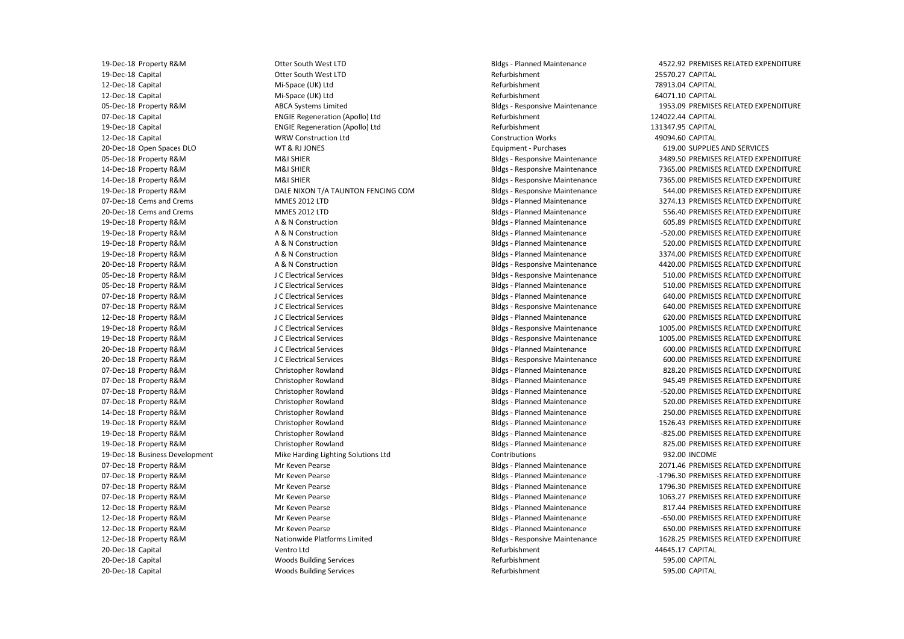19-Dec-18 Property R&M 19-Dec-18 Capital 12-Dec-18 Capital 12-Dec-18 Capital 05-Dec-18 Property R&M 07-Dec-18 Capital 19-Dec-18 Capital 12-Dec-18 Capital 20-Dec-18 Open Spaces DLO 05-Dec-18 Property R&M 14-Dec-18 Property R&M 14-Dec-18 Property R&M 19-Dec-18 Property R&M 07-Dec-18 Cems and Crems 20-Dec-18 Cems and Crems 19-Dec-18 Property R&M 19-Dec-18 Property R&M 19-Dec-18 Property R&M 19-Dec-18 Property R&M 20-Dec-18 Property R&M 05-Dec-18 Property R&M 05-Dec-18 Property R&M 07-Dec-18 Property R&M 07-Dec-18 Property R&M 12-Dec-18 Property R&M 19-Dec-18 Property R&M 19-Dec-18 Property R&M 20-Dec-18 Property R&M 20-Dec-18 Property R&M 07-Dec-18 Property R&M 07-Dec-18 Property R&M 07-Dec-18 Property R&M 07-Dec-18 Property R&M 14-Dec-18 Property R&M 19-Dec-18 Property R&M 19-Dec-18 Property R&M 19-Dec-18 Property R&M 19-Dec-18 Business Development 07-Dec-18 Property R&M 07-Dec-18 Property R&M 07-Dec-18 Property R&M 07-Dec-18 Property R&M 12-Dec-18 Property R&M 12-Dec-18 Property R&M 12-Dec-18 Property R&M 12-Dec-18 Property R&M 20-Dec-18 Capital 20-Dec-18 Capital 20-Dec-18 Capital

 ABCA Systems Limited DALE NIXON T/A TAUNTON FENCING COM A & N Construction A & N Construction A & N Construction A & N Construction A & N Construction J C Electrical Services J C Electrical Services J C Electrical Services J C Electrical Services J C Electrical Services J C Electrical Services J C Electrical Services J C Electrical Services J C Electrical Services Mike Harding Lighting Solutions Ltd Nationwide Platforms Limited Woods Building Services Woods Building Services Otter South West LTD Otter South West LTD Mi-Space (UK) Ltd Mi-Space (UK) Ltd ENGIE Regeneration (Apollo) Ltd ENGIE Regeneration (Apollo) Ltd WRW Construction Ltd WT & RJ JONES M&I SHIER M&I SHIER M&I SHIER MMES 2012 LTD MMES 2012 LTD Christopher Rowland Christopher Rowland Christopher Rowland Christopher Rowland Christopher Rowland Christopher Rowland Christopher Rowland Christopher Rowland Mr Keven Pearse Mr Keven Pearse Mr Keven Pearse Mr Keven Pearse Mr Keven Pearse Mr Keven Pearse Mr Keven Pearse Ventro Ltd

 Bldgs - Planned Maintenance Bldgs - Responsive Maintenance Bldgs - Responsive Maintenance Bldgs - Responsive Maintenance Bldgs - Planned Maintenance Bldgs - Planned Maintenance Bldgs - Planned Maintenance Bldgs - Planned Maintenance Bldgs - Planned Maintenance Bldgs - Planned Maintenance Bldgs - Planned Maintenance Bldgs - Planned Maintenance Bldgs - Planned Maintenance Bldgs - Planned Maintenance Bldgs - Planned Maintenance Bldgs - Planned Maintenance Bldgs - Planned Maintenance Bldgs - Planned Maintenance Bldgs - Planned Maintenance Bldgs - Planned Maintenance Bldgs - Planned Maintenance Refurbishment Refurbishment Refurbishment Bldgs - Responsive Maintenance Refurbishment Refurbishment Construction Works Equipment - Purchases Bldgs - Responsive Maintenance Bldgs - Planned Maintenance Bldgs - Planned Maintenance Bldgs - Planned Maintenance Bldgs - Planned Maintenance Bldgs - Responsive Maintenance Bldgs - Responsive Maintenance Bldgs - Planned Maintenance Bldgs - Planned Maintenance Bldgs - Responsive Maintenance Bldgs - Planned Maintenance Bldgs - Responsive Maintenance Bldgs - Responsive Maintenance Bldgs - Planned Maintenance Bldgs - Responsive Maintenance Contributions Bldgs - Responsive Maintenance Refurbishment Refurbishment Refurbishment

4522.92 PREMISES RELATED EXPENDITURE 25570.27 CAPITAL 78913.04 CAPITAL 64071.10 CAPITAL 1953.09 PREMISES RELATED EXPENDITURE 124022.44 CAPITAL 131347.95 CAPITAL 49094.60 CAPITAL 619.00 SUPPLIES AND SERVICES 3489.50 PREMISES RELATED EXPENDITURE 7365.00 PREMISES RELATED EXPENDITURE 7365.00 PREMISES RELATED EXPENDITURE 544.00 PREMISES RELATED EXPENDITURE 3274.13 PREMISES RELATED EXPENDITURE 556.40 PREMISES RELATED EXPENDITURE 605.89 PREMISES RELATED EXPENDITURE -520.00 PREMISES RELATED EXPENDITURE 520.00 PREMISES RELATED EXPENDITURE 3374.00 PREMISES RELATED EXPENDITURE 4420.00 PREMISES RELATED EXPENDITURE 510.00 PREMISES RELATED EXPENDITURE 510.00 PREMISES RELATED EXPENDITURE 640.00 PREMISES RELATED EXPENDITURE 640.00 PREMISES RELATED EXPENDITURE 620.00 PREMISES RELATED EXPENDITURE 1005.00 PREMISES RELATED EXPENDITURE 1005.00 PREMISES RELATED EXPENDITURE 600.00 PREMISES RELATED EXPENDITURE 600.00 PREMISES RELATED EXPENDITURE 828.20 PREMISES RELATED EXPENDITURE 945.49 PREMISES RELATED EXPENDITURE -520.00 PREMISES RELATED EXPENDITURE 520.00 PREMISES RELATED EXPENDITURE 250.00 PREMISES RELATED EXPENDITURE 1526.43 PREMISES RELATED EXPENDITURE -825.00 PREMISES RELATED EXPENDITURE 825.00 PREMISES RELATED EXPENDITURE 932.00 INCOME 2071.46 PREMISES RELATED EXPENDITURE -1796.30 PREMISES RELATED EXPENDITURE 1796.30 PREMISES RELATED EXPENDITURE 1063.27 PREMISES RELATED EXPENDITURE 817.44 PREMISES RELATED EXPENDITURE -650.00 PREMISES RELATED EXPENDITURE 650.00 PREMISES RELATED EXPENDITURE 1628.25 PREMISES RELATED EXPENDITURE 44645.17 CAPITAL 595.00 CAPITAL 595.00 CAPITAL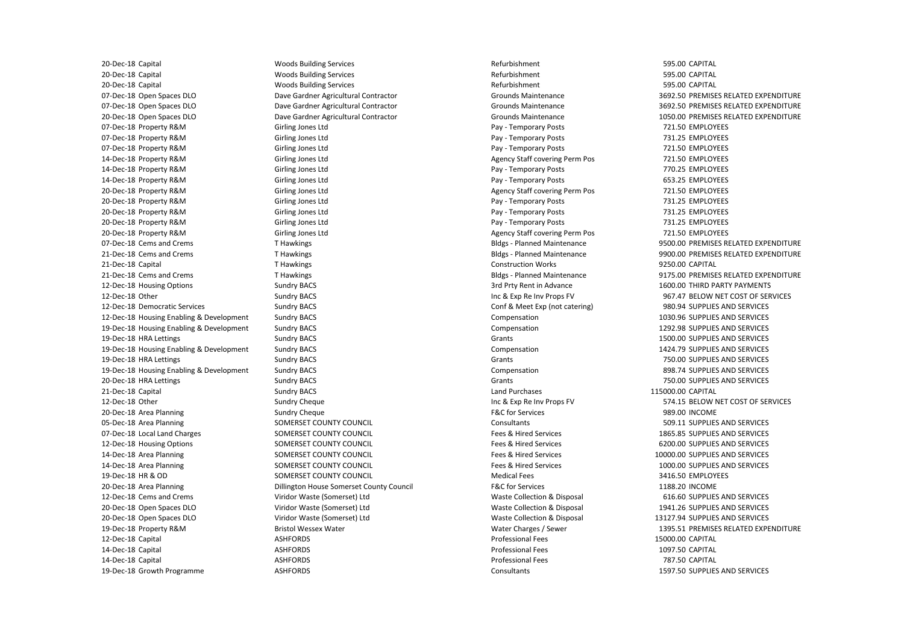12-Dec-18 Housing Enabling & Development 19-Dec-18 Housing Enabling & Development 19-Dec-18 Housing Enabling & Development 19-Dec-18 Housing Enabling & Development 20-Dec-18 Capital 20-Dec-18 Capital 20-Dec-18 Capital 07-Dec-18 Open Spaces DLO 07-Dec-18 Open Spaces DLO 20-Dec-18 Open Spaces DLO 07-Dec-18 Property R&M 07-Dec-18 Property R&M 07-Dec-18 Property R&M 14-Dec-18 Property R&M 14-Dec-18 Property R&M 14-Dec-18 Property R&M 20-Dec-18 Property R&M 20-Dec-18 Property R&M 20-Dec-18 Property R&M 20-Dec-18 Property R&M 20-Dec-18 Property R&M 07-Dec-18 Cems and Crems 21-Dec-18 Cems and Crems 21-Dec-18 Capital 21-Dec-18 Cems and Crems 12-Dec-18 Housing Options 12-Dec-18 Other 12-Dec-18 Democratic Services 19-Dec-18 HRA Lettings 19-Dec-18 HRA Lettings 20-Dec-18 HRA Lettings 21-Dec-18 Capital 12-Dec-18 Other 20-Dec-18 Area Planning 05-Dec-18 Area Planning 07-Dec-18 Local Land Charges 12-Dec-18 Housing Options 14-Dec-18 Area Planning 14-Dec-18 Area Planning 19-Dec-18 HR & OD 20-Dec-18 Area Planning 12-Dec-18 Cems and Crems 20-Dec-18 Open Spaces DLO 20-Dec-18 Open Spaces DLO 19-Dec-18 Property R&M 12-Dec-18 Capital 14-Dec-18 Capital 14-Dec-18 Capital 19-Dec-18 Growth Programme

 Woods Building Services Woods Building Services Woods Building Services Girling Jones Ltd Girling Jones Ltd Girling Jones Ltd Girling Jones Ltd Girling Jones Ltd Girling Jones Ltd Girling Jones Ltd Girling Jones Ltd Girling Jones Ltd Girling Jones Ltd Girling Jones Ltd SOMERSET COUNTY COUNCIL SOMERSET COUNTY COUNCIL SOMERSET COUNTY COUNCIL SOMERSET COUNTY COUNCIL SOMERSET COUNTY COUNCIL SOMERSET COUNTY COUNCIL Viridor Waste (Somerset) Ltd Viridor Waste (Somerset) Ltd Viridor Waste (Somerset) Ltd Bristol Wessex Water Dave Gardner Agricultural Contractor Dave Gardner Agricultural Contractor Dave Gardner Agricultural Contractor T Hawkings T Hawkings T Hawkings T Hawkings Sundry BACS Sundry BACS Sundry BACS Sundry BACS Sundry BACS Sundry BACS Sundry BACS Sundry BACS Sundry BACS Sundry BACS Sundry BACS Sundry Cheque Sundry Cheque Dillington House Somerset County Council ASHFORDS ASHFORDS ASHFORDS ASHFORDS

 Bldgs - Planned Maintenance Bldgs - Planned Maintenance Bldgs - Planned Maintenance Inc & Exp Re Inv Props FV Inc & Exp Re Inv Props FV Refurbishment Refurbishment Refurbishment Grounds Maintenance Grounds Maintenance Grounds Maintenance Pay - Temporary Posts Pay - Temporary Posts Pay - Temporary Posts Agency Staff covering Perm Pos Pay - Temporary Posts Pay - Temporary Posts Agency Staff covering Perm Pos Pay - Temporary Posts Pay - Temporary Posts Pay - Temporary Posts Agency Staff covering Perm Pos Construction Works 3rd Prty Rent in Advance Conf & Meet Exp (not catering) Compensation Compensation Grants Compensation Grants Compensation Grants Land Purchases F&C for Services **Consultants** Fees & Hired Services Fees & Hired Services Fees & Hired Services Fees & Hired Services Medical Fees F&C for Services Waste Collection & Disposal Waste Collection & Disposal Waste Collection & Disposal Water Charges / Sewer Professional Fees Professional Fees Professional Fees **Consultants** 

595.00 CAPITAL 595.00 CAPITAL 595.00 CAPITAL 3692.50 PREMISES RELATED EXPENDITURE 3692.50 PREMISES RELATED EXPENDITURE 1050.00 PREMISES RELATED EXPENDITURE 721.50 EMPLOYEES 731.25 EMPLOYEES 721.50 EMPLOYEES 721.50 EMPLOYEES 770.25 EMPLOYEES 653.25 EMPLOYEES 721.50 EMPLOYEES 731.25 EMPLOYEES 731.25 EMPLOYEES 731.25 EMPLOYEES 721.50 EMPLOYEES 9500.00 PREMISES RELATED EXPENDITURE 9900.00 PREMISES RELATED EXPENDITURE 9250.00 CAPITAL 9175.00 PREMISES RELATED EXPENDITURE 1600.00 THIRD PARTY PAYMENTS 967.47 BELOW NET COST OF SERVICES 980.94 SUPPLIES AND SERVICES 1030.96 SUPPLIES AND SERVICES 1292.98 SUPPLIES AND SERVICES 1500.00 SUPPLIES AND SERVICES 1424.79 SUPPLIES AND SERVICES 750.00 SUPPLIES AND SERVICES 898.74 SUPPLIES AND SERVICES 750.00 SUPPLIES AND SERVICES 115000.00 CAPITAL 574.15 BELOW NET COST OF SERVICES 989.00 INCOME 509.11 SUPPLIES AND SERVICES 1865.85 SUPPLIES AND SERVICES 6200.00 SUPPLIES AND SERVICES 10000.00 SUPPLIES AND SERVICES 1000.00 SUPPLIES AND SERVICES 3416.50 EMPLOYEES 1188.20 INCOME 616.60 SUPPLIES AND SERVICES 1941.26 SUPPLIES AND SERVICES 13127.94 SUPPLIES AND SERVICES 1395.51 PREMISES RELATED EXPENDITURE 15000.00 CAPITAL 1097.50 CAPITAL 787.50 CAPITAL 1597.50 SUPPLIES AND SERVICES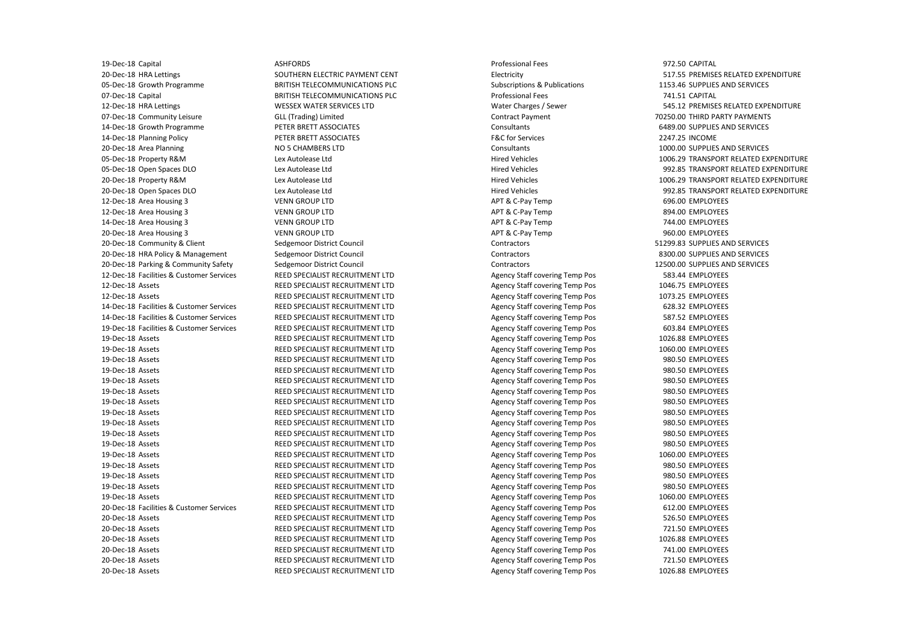20-Dec-18 HRA Policy & Management 19-Dec-18 Capital 20-Dec-18 HRA Lettings 05-Dec-18 Growth Programme 07-Dec-18 Capital 12-Dec-18 HRA Lettings 07-Dec-18 Community Leisure 14-Dec-18 Growth Programme 14-Dec-18 Planning Policy 20-Dec-18 Area Planning 05-Dec-18 Property R&M 05-Dec-18 Open Spaces DLO 20-Dec-18 Property R&M 20-Dec-18 Open Spaces DLO 12-Dec-18 Area Housing 3 12-Dec-18 Area Housing 3 14-Dec-18 Area Housing 3 20-Dec-18 Area Housing 3 20-Dec-18 Community & Client 20-Dec-18 Parking & Community Safety 12-Dec-18 Facilities & Customer Services 12-Dec-18 Assets 12-Dec-18 Assets 14-Dec-18 Facilities & Customer Services 14-Dec-18 Facilities & Customer Services 19-Dec-18 Facilities & Customer Services 19-Dec-18 Assets 19-Dec-18 Assets 19-Dec-18 Assets 19-Dec-18 Assets 19-Dec-18 Assets 19-Dec-18 Assets 19-Dec-18 Assets 19-Dec-18 Assets 19-Dec-18 Assets 19-Dec-18 Assets 19-Dec-18 Assets 19-Dec-18 Assets 19-Dec-18 Assets 19-Dec-18 Assets 19-Dec-18 Assets 19-Dec-18 Assets 20-Dec-18 Facilities & Customer Services 20-Dec-18 Assets 20-Dec-18 Assets 20-Dec-18 Assets 20-Dec-18 Assets 20-Dec-18 Assets 20-Dec-18 Assets

 SOUTHERN ELECTRIC PAYMENT CENT WESSEX WATER SERVICES LTD PETER BRETT ASSOCIATES PETER BRETT ASSOCIATES Lex Autolease Ltd Lex Autolease Ltd Lex Autolease Ltd Lex Autolease Ltd VENN GROUP LTD VENN GROUP LTD VENN GROUP LTD VENN GROUP LTD REED SPECIALIST RECRUITMENT LTD REED SPECIALIST RECRUITMENT LTD REED SPECIALIST RECRUITMENT LTD REED SPECIALIST RECRUITMENT LTD REED SPECIALIST RECRUITMENT LTD REED SPECIALIST RECRUITMENT LTD REED SPECIALIST RECRUITMENT LTD REED SPECIALIST RECRUITMENT LTD REED SPECIALIST RECRUITMENT LTD REED SPECIALIST RECRUITMENT LTD REED SPECIALIST RECRUITMENT LTD REED SPECIALIST RECRUITMENT LTD REED SPECIALIST RECRUITMENT LTD REED SPECIALIST RECRUITMENT LTD REED SPECIALIST RECRUITMENT LTD REED SPECIALIST RECRUITMENT LTD REED SPECIALIST RECRUITMENT LTD REED SPECIALIST RECRUITMENT LTD REED SPECIALIST RECRUITMENT LTD REED SPECIALIST RECRUITMENT LTD REED SPECIALIST RECRUITMENT LTD REED SPECIALIST RECRUITMENT LTD REED SPECIALIST RECRUITMENT LTD REED SPECIALIST RECRUITMENT LTD REED SPECIALIST RECRUITMENT LTD REED SPECIALIST RECRUITMENT LTD REED SPECIALIST RECRUITMENT LTD REED SPECIALIST RECRUITMENT LTD REED SPECIALIST RECRUITMENT LTD ASHFORDS BRITISH TELECOMMUNICATIONS PLC BRITISH TELECOMMUNICATIONS PLC GLL (Trading) Limited NO 5 CHAMBERS LTD Sedgemoor District Council Sedgemoor District Council Sedgemoor District Council

Professional Fees Electricity Subscriptions & Publications Professional Fees Water Charges / Sewer Contract Payment Consultants F&C for Services **Consultants** Hired Vehicles Hired Vehicles Hired Vehicles Hired Vehicles APT & C-Pay Temp APT & C-Pay Temp APT & C-Pay Temp APT & C-Pay Temp **Contractors Contractors** Contractors Agency Staff covering Temp Pos Agency Staff covering Temp Pos Agency Staff covering Temp Pos Agency Staff covering Temp Pos Agency Staff covering Temp Pos Agency Staff covering Temp Pos Agency Staff covering Temp Pos Agency Staff covering Temp Pos Agency Staff covering Temp Pos Agency Staff covering Temp Pos Agency Staff covering Temp Pos Agency Staff covering Temp Pos Agency Staff covering Temp Pos Agency Staff covering Temp Pos Agency Staff covering Temp Pos Agency Staff covering Temp Pos Agency Staff covering Temp Pos Agency Staff covering Temp Pos Agency Staff covering Temp Pos Agency Staff covering Temp Pos Agency Staff covering Temp Pos Agency Staff covering Temp Pos Agency Staff covering Temp Pos Agency Staff covering Temp Pos Agency Staff covering Temp Pos Agency Staff covering Temp Pos Agency Staff covering Temp Pos Agency Staff covering Temp Pos Agency Staff covering Temp Pos

972.50 CAPITAL 517.55 PREMISES RELATED EXPENDITURE 1153.46 SUPPLIES AND SERVICES 741.51 CAPITAL 545.12 PREMISES RELATED EXPENDITURE 70250.00 THIRD PARTY PAYMENTS 6489.00 SUPPLIES AND SERVICES 2247.25 INCOME 1000.00 SUPPLIES AND SERVICES 1006.29 TRANSPORT RELATED EXPENDITURE 992.85 TRANSPORT RELATED EXPENDITURE 1006.29 TRANSPORT RELATED EXPENDITURE 992.85 TRANSPORT RELATED EXPENDITURE 696.00 EMPLOYEES 894.00 EMPLOYEES 744.00 EMPLOYEES 960.00 EMPLOYEES 51299.83 SUPPLIES AND SERVICES 8300.00 SUPPLIES AND SERVICES 12500.00 SUPPLIES AND SERVICES 583.44 EMPLOYEES 1046.75 EMPLOYEES 1073.25 EMPLOYEES 628.32 EMPLOYEES 587.52 EMPLOYEES 603.84 EMPLOYEES 1026.88 EMPLOYEES 1060.00 EMPLOYEES 980.50 EMPLOYEES 980.50 EMPLOYEES 980.50 EMPLOYEES 980.50 EMPLOYEES 980.50 EMPLOYEES 980.50 EMPLOYEES 980.50 EMPLOYEES 980.50 EMPLOYEES 980.50 EMPLOYEES 1060.00 EMPLOYEES 980.50 EMPLOYEES 980.50 EMPLOYEES 980.50 EMPLOYEES 1060.00 EMPLOYEES 612.00 EMPLOYEES 526.50 EMPLOYEES 721.50 EMPLOYEES 1026.88 EMPLOYEES 741.00 EMPLOYEES 721.50 EMPLOYEES 1026.88 EMPLOYEES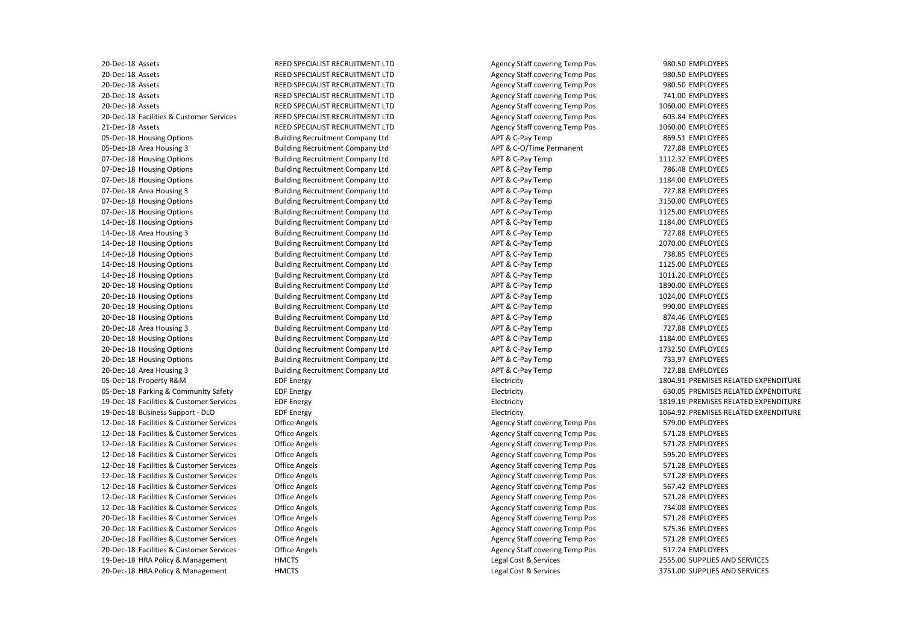19-Dec-18 Business Support - DLO 19-Dec-18 HRA Policy & Management 20-Dec-18 HRA Policy & Management 20-Dec-18 Assets 20-Dec-18 Assets 20-Dec-18 Assets 20-Dec-18 Assets 20-Dec-18 Assets 20-Dec-18 Facilities & Customer Services 21-Dec-18 Assets 05-Dec-18 Housing Options 05-Dec-18 Area Housing 3 07-Dec-18 Housing Options 07-Dec-18 Housing Options 07-Dec-18 Housing Options 07-Dec-18 Area Housing 3 07-Dec-18 Housing Options 07-Dec-18 Housing Options 14-Dec-18 Housing Options 14-Dec-18 Area Housing 3 14-Dec-18 Housing Options 14-Dec-18 Housing Options 14-Dec-18 Housing Options 14-Dec-18 Housing Options 20-Dec-18 Housing Options 20-Dec-18 Housing Options 20-Dec-18 Housing Options 20-Dec-18 Housing Options 20-Dec-18 Area Housing 3 20-Dec-18 Housing Options 20-Dec-18 Housing Options 20-Dec-18 Housing Options 20-Dec-18 Area Housing 3 05-Dec-18 Property R&M 05-Dec-18 Parking & Community Safety 19-Dec-18 Facilities & Customer Services 12-Dec-18 Facilities & Customer Services 12-Dec-18 Facilities & Customer Services 12-Dec-18 Facilities & Customer Services 12-Dec-18 Facilities & Customer Services 12-Dec-18 Facilities & Customer Services 12-Dec-18 Facilities & Customer Services 12-Dec-18 Facilities & Customer Services 12-Dec-18 Facilities & Customer Services 12-Dec-18 Facilities & Customer Services 20-Dec-18 Facilities & Customer Services 20-Dec-18 Facilities & Customer Services 20-Dec-18 Facilities & Customer Services 20-Dec-18 Facilities & Customer Services

 REED SPECIALIST RECRUITMENT LTD REED SPECIALIST RECRUITMENT LTD REED SPECIALIST RECRUITMENT LTD REED SPECIALIST RECRUITMENT LTD REED SPECIALIST RECRUITMENT LTD REED SPECIALIST RECRUITMENT LTD REED SPECIALIST RECRUITMENT LTD Building Recruitment Company Ltd Building Recruitment Company Ltd Building Recruitment Company Ltd Building Recruitment Company Ltd Building Recruitment Company Ltd Building Recruitment Company Ltd Building Recruitment Company Ltd Building Recruitment Company Ltd Building Recruitment Company Ltd Building Recruitment Company Ltd Building Recruitment Company Ltd Building Recruitment Company Ltd Building Recruitment Company Ltd Building Recruitment Company Ltd Building Recruitment Company Ltd Building Recruitment Company Ltd Building Recruitment Company Ltd Building Recruitment Company Ltd Building Recruitment Company Ltd Building Recruitment Company Ltd Building Recruitment Company Ltd Building Recruitment Company Ltd Building Recruitment Company Ltd EDF Energy EDF Energy EDF Energy EDF Energy Office Angels Office Angels Office Angels Office Angels Office Angels Office Angels Office Angels Office Angels Office Angels Office Angels Office Angels Office Angels Office Angels **HMCTS HMCTS** 

 APT & C-Pay Temp APT & C-O/Time Permanent APT & C-Pay Temp APT & C-Pay Temp APT & C-Pay Temp APT & C-Pay Temp APT & C-Pay Temp APT & C-Pay Temp APT & C-Pay Temp APT & C-Pay Temp APT & C-Pay Temp APT & C-Pay Temp APT & C-Pay Temp APT & C-Pay Temp APT & C-Pay Temp APT & C-Pay Temp APT & C-Pay Temp APT & C-Pay Temp APT & C-Pay Temp APT & C-Pay Temp APT & C-Pay Temp APT & C-Pay Temp APT & C-Pay Temp Agency Staff covering Temp Pos Agency Staff covering Temp Pos Agency Staff covering Temp Pos Agency Staff covering Temp Pos Agency Staff covering Temp Pos Agency Staff covering Temp Pos Agency Staff covering Temp Pos Agency Staff covering Temp Pos Agency Staff covering Temp Pos Agency Staff covering Temp Pos Agency Staff covering Temp Pos Agency Staff covering Temp Pos Agency Staff covering Temp Pos Agency Staff covering Temp Pos Agency Staff covering Temp Pos Agency Staff covering Temp Pos Agency Staff covering Temp Pos Agency Staff covering Temp Pos Agency Staff covering Temp Pos Agency Staff covering Temp Pos Electricity Electricity Electricity Electricity Legal Cost & Services Legal Cost & Services

980.50 EMPLOYEES 980.50 EMPLOYEES 980.50 EMPLOYEES 741.00 EMPLOYEES 1060.00 EMPLOYEES 603.84 EMPLOYEES 1060.00 EMPLOYEES 869.51 EMPLOYEES 727.88 EMPLOYEES 1112.32 EMPLOYEES 786.48 EMPLOYEES 1184.00 EMPLOYEES 727.88 EMPLOYEES 3150.00 EMPLOYEES 1125.00 EMPLOYEES 1184.00 EMPLOYEES 727.88 EMPLOYEES 2070.00 EMPLOYEES 738.85 EMPLOYEES 1125.00 EMPLOYEES 1011.20 EMPLOYEES 1890.00 EMPLOYEES 1024.00 EMPLOYEES 990.00 EMPLOYEES 874.46 EMPLOYEES 727.88 EMPLOYEES 1184.00 EMPLOYEES 1732.50 EMPLOYEES 733.97 EMPLOYEES 727.88 EMPLOYEES 1804.91 PREMISES RELATED EXPENDITURE 630.05 PREMISES RELATED EXPENDITURE 1819.19 PREMISES RELATED EXPENDITURE 1064.92 PREMISES RELATED EXPENDITURE 579.00 EMPLOYEES 571.28 EMPLOYEES 571.28 EMPLOYEES 595.20 EMPLOYEES 571.28 EMPLOYEES 571.28 EMPLOYEES 567.42 EMPLOYEES 571.28 EMPLOYEES 734.08 EMPLOYEES 571.28 EMPLOYEES 575.36 EMPLOYEES 571.28 EMPLOYEES 517.24 EMPLOYEES 2555.00 SUPPLIES AND SERVICES 3751.00 SUPPLIES AND SERVICES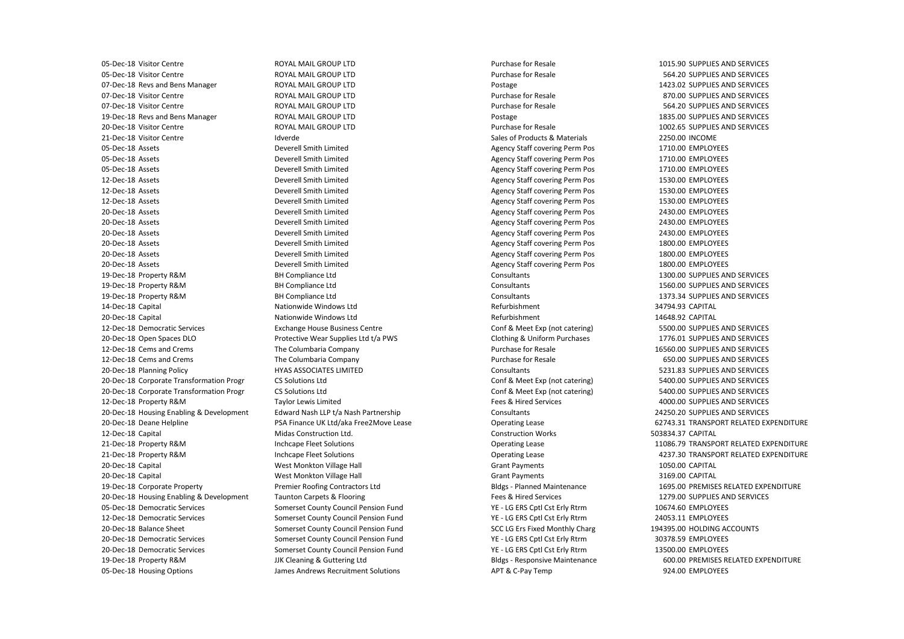07-Dec-18 Revs and Bens Manager 19-Dec-18 Revs and Bens Manager 20-Dec-18 Housing Enabling & Development 20-Dec-18 Housing Enabling & Development 05-Dec-18 Visitor Centre 05-Dec-18 Visitor Centre 07-Dec-18 Visitor Centre 07-Dec-18 Visitor Centre 20-Dec-18 Visitor Centre 21-Dec-18 Visitor Centre 05-Dec-18 Assets 05-Dec-18 Assets 05-Dec-18 Assets 12-Dec-18 Assets 12-Dec-18 Assets 12-Dec-18 Assets 20-Dec-18 Assets 20-Dec-18 Assets 20-Dec-18 Assets 20-Dec-18 Assets 20-Dec-18 Assets 20-Dec-18 Assets 19-Dec-18 Property R&M 19-Dec-18 Property R&M 19-Dec-18 Property R&M 14-Dec-18 Capital 20-Dec-18 Capital 12-Dec-18 Democratic Services 20-Dec-18 Open Spaces DLO 12-Dec-18 Cems and Crems 12-Dec-18 Cems and Crems 20-Dec-18 Planning Policy 20-Dec-18 Corporate Transformation Progr 20-Dec-18 Corporate Transformation Progr 12-Dec-18 Property R&M 20-Dec-18 Deane Helpline 12-Dec-18 Capital 21-Dec-18 Property R&M 21-Dec-18 Property R&M 20-Dec-18 Capital 20-Dec-18 Capital 19-Dec-18 Corporate Property 05-Dec-18 Democratic Services 12-Dec-18 Democratic Services 20-Dec-18 Balance Sheet 20-Dec-18 Democratic Services 20-Dec-18 Democratic Services 19-Dec-18 Property R&M 05-Dec-18 Housing Options

 ROYAL MAIL GROUP LTD ROYAL MAIL GROUP LTD ROYAL MAIL GROUP LTD ROYAL MAIL GROUP LTD ROYAL MAIL GROUP LTD BH Compliance Ltd BH Compliance Ltd BH Compliance Ltd Nationwide Windows Ltd Nationwide Windows Ltd Exchange House Business Centre PSA Finance UK Ltd/aka Free2Move Lease Premier Roofing Contractors Ltd Somerset County Council Pension Fund Somerset County Council Pension Fund Somerset County Council Pension Fund Somerset County Council Pension Fund Somerset County Council Pension Fund JJK Cleaning & Guttering Ltd James Andrews Recruitment Solutions ROYAL MAIL GROUP LTD ROYAL MAIL GROUP LTD Idverde Deverell Smith Limited Deverell Smith Limited Deverell Smith Limited Deverell Smith Limited Deverell Smith Limited Deverell Smith Limited Deverell Smith Limited Deverell Smith Limited Deverell Smith Limited Deverell Smith Limited Deverell Smith Limited Deverell Smith Limited Protective Wear Supplies Ltd t/a PWS The Columbaria Company The Columbaria Company HYAS ASSOCIATES LIMITED CS Solutions Ltd CS Solutions Ltd Taylor Lewis Limited Edward Nash LLP t/a Nash Partnership Midas Construction Ltd. Inchcape Fleet Solutions Inchcape Fleet Solutions West Monkton Village Hall West Monkton Village Hall Taunton Carpets & Flooring

 Sales of Products & Materials Agency Staff covering Perm Pos Agency Staff covering Perm Pos Agency Staff covering Perm Pos Agency Staff covering Perm Pos Agency Staff covering Perm Pos Agency Staff covering Perm Pos Agency Staff covering Perm Pos Agency Staff covering Perm Pos Agency Staff covering Perm Pos Agency Staff covering Perm Pos Agency Staff covering Perm Pos Agency Staff covering Perm Pos Clothing & Uniform Purchases Purchase for Resale Purchase for Resale Postage Purchase for Resale Purchase for Resale Postage Purchase for Resale **Consultants Consultants** Consultants Refurbishment Refurbishment Conf & Meet Exp (not catering) Purchase for Resale Purchase for Resale Consultants Conf & Meet Exp (not catering) Conf & Meet Exp (not catering) Fees & Hired Services **Consultants** Operating Lease Construction Works Operating Lease Operating Lease Grant Payments Grant Payments Bldgs - Planned Maintenance Fees & Hired Services YE - LG ERS Cptl Cst Erly Rtrm YE - LG ERS Cptl Cst Erly Rtrm SCC LG Ers Fixed Monthly Charg YE - LG ERS Cptl Cst Erly Rtrm YE - LG ERS Cptl Cst Erly Rtrm Bldgs - Responsive Maintenance APT & C-Pay Temp

 11086.79 TRANSPORT RELATED EXPENDITURE 4237.30 TRANSPORT RELATED EXPENDITURE 1015.90 SUPPLIES AND SERVICES 564.20 SUPPLIES AND SERVICES 1423.02 SUPPLIES AND SERVICES 870.00 SUPPLIES AND SERVICES 564.20 SUPPLIES AND SERVICES 1835.00 SUPPLIES AND SERVICES 1002.65 SUPPLIES AND SERVICES 2250.00 INCOME 1710.00 EMPLOYEES 1710.00 EMPLOYEES 1710.00 EMPLOYEES 1530.00 EMPLOYEES 1530.00 EMPLOYEES 1530.00 EMPLOYEES 2430.00 EMPLOYEES 2430.00 EMPLOYEES 2430.00 EMPLOYEES 1800.00 EMPLOYEES 1800.00 EMPLOYEES 1800.00 EMPLOYEES 1300.00 SUPPLIES AND SERVICES 1560.00 SUPPLIES AND SERVICES 1373.34 SUPPLIES AND SERVICES 34794.93 CAPITAL 14648.92 CAPITAL 5500.00 SUPPLIES AND SERVICES 1776.01 SUPPLIES AND SERVICES 16560.00 SUPPLIES AND SERVICES 650.00 SUPPLIES AND SERVICES 5231.83 SUPPLIES AND SERVICES 5400.00 SUPPLIES AND SERVICES 5400.00 SUPPLIES AND SERVICES 4000.00 SUPPLIES AND SERVICES 24250.20 SUPPLIES AND SERVICES 62743.31 TRANSPORT RELATED EXPENDITURE 503834.37 CAPITAL 1050.00 CAPITAL 3169.00 CAPITAL 1695.00 PREMISES RELATED EXPENDITURE 1279.00 SUPPLIES AND SERVICES 10674.60 EMPLOYEES 24053.11 EMPLOYEES 194395.00 HOLDING ACCOUNTS 30378.59 EMPLOYEES 13500.00 EMPLOYEES 600.00 PREMISES RELATED EXPENDITURE 924.00 EMPLOYEES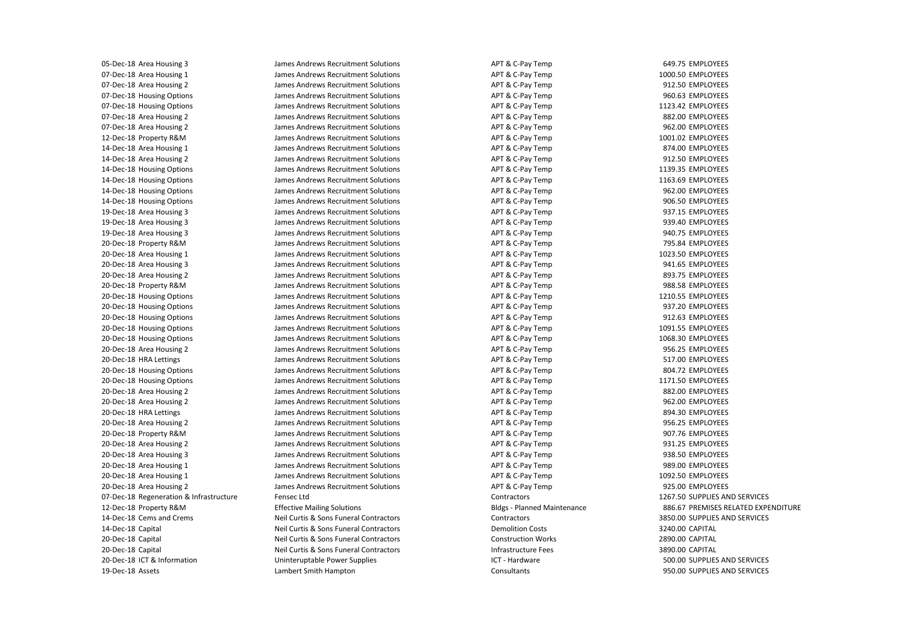05-Dec-18 Area Housing 3 07-Dec-18 Area Housing 1 07-Dec-18 Area Housing 2 07-Dec-18 Housing Options 07-Dec-18 Housing Options 07-Dec-18 Area Housing 2 07-Dec-18 Area Housing 2 12-Dec-18 Property R&M 14-Dec-18 Area Housing 1 14-Dec-18 Area Housing 2 14-Dec-18 Housing Options 14-Dec-18 Housing Options 14-Dec-18 Housing Options 14-Dec-18 Housing Options 19-Dec-18 Area Housing 3 19-Dec-18 Area Housing 3 19-Dec-18 Area Housing 3 20-Dec-18 Property R&M 20-Dec-18 Area Housing 1 20-Dec-18 Area Housing 3 20-Dec-18 Area Housing 2 20-Dec-18 Property R&M 20-Dec-18 Housing Options 20-Dec-18 Housing Options 20-Dec-18 Housing Options 20-Dec-18 Housing Options 20-Dec-18 Housing Options 20-Dec-18 Area Housing 2 20-Dec-18 HRA Lettings 20-Dec-18 Housing Options 20-Dec-18 Housing Options 20-Dec-18 Area Housing 2 20-Dec-18 Area Housing 2 20-Dec-18 HRA Lettings 20-Dec-18 Area Housing 2 20-Dec-18 Property R&M 20-Dec-18 Area Housing 2 20-Dec-18 Area Housing 3 20-Dec-18 Area Housing 1 20-Dec-18 Area Housing 1 20-Dec-18 Area Housing 2 07-Dec-18 Regeneration & Infrastructure 12-Dec-18 Property R&M 14-Dec-18 Cems and Crems 14-Dec-18 Capital 20-Dec-18 Capital 20-Dec-18 Capital 20-Dec-18 ICT & Information 19-Dec-18 Assets

 James Andrews Recruitment Solutions James Andrews Recruitment Solutions James Andrews Recruitment Solutions James Andrews Recruitment Solutions James Andrews Recruitment Solutions James Andrews Recruitment Solutions James Andrews Recruitment Solutions James Andrews Recruitment Solutions James Andrews Recruitment Solutions James Andrews Recruitment Solutions James Andrews Recruitment Solutions James Andrews Recruitment Solutions James Andrews Recruitment Solutions James Andrews Recruitment Solutions James Andrews Recruitment Solutions James Andrews Recruitment Solutions James Andrews Recruitment Solutions James Andrews Recruitment Solutions James Andrews Recruitment Solutions James Andrews Recruitment Solutions James Andrews Recruitment Solutions James Andrews Recruitment Solutions James Andrews Recruitment Solutions James Andrews Recruitment Solutions James Andrews Recruitment Solutions James Andrews Recruitment Solutions James Andrews Recruitment Solutions James Andrews Recruitment Solutions James Andrews Recruitment Solutions James Andrews Recruitment Solutions James Andrews Recruitment Solutions James Andrews Recruitment Solutions James Andrews Recruitment Solutions James Andrews Recruitment Solutions James Andrews Recruitment Solutions James Andrews Recruitment Solutions James Andrews Recruitment Solutions James Andrews Recruitment Solutions James Andrews Recruitment Solutions James Andrews Recruitment Solutions James Andrews Recruitment Solutions Effective Mailing Solutions Neil Curtis & Sons Funeral Contractors Fensec Ltd

 Neil Curtis & Sons Funeral Contractors Neil Curtis & Sons Funeral Contractors Neil Curtis & Sons Funeral Contractors Uninteruptable Power Supplies Lambert Smith Hampton

 ICT - Hardware APT & C-Pay Temp APT & C-Pay Temp APT & C-Pay Temp APT & C-Pay Temp APT & C-Pay Temp APT & C-Pay Temp APT & C-Pay Temp APT & C-Pay Temp APT & C-Pay Temp APT & C-Pay Temp APT & C-Pay Temp APT & C-Pay Temp APT & C-Pay Temp APT & C-Pay Temp APT & C-Pay Temp APT & C-Pay Temp APT & C-Pay Temp APT & C-Pay Temp APT & C-Pay Temp APT & C-Pay Temp APT & C-Pay Temp APT & C-Pay Temp APT & C-Pay Temp APT & C-Pay Temp APT & C-Pay Temp APT & C-Pay Temp APT & C-Pay Temp APT & C-Pay Temp APT & C-Pay Temp APT & C-Pay Temp APT & C-Pay Temp APT & C-Pay Temp APT & C-Pay Temp APT & C-Pay Temp APT & C-Pay Temp APT & C-Pay Temp APT & C-Pay Temp APT & C-Pay Temp APT & C-Pay Temp APT & C-Pay Temp APT & C-Pay Temp Contractors Bldgs - Planned Maintenance **Contractors** Demolition Costs Construction Works Infrastructure Fees **Consultants** 

649.75 EMPLOYEES 1000.50 EMPLOYEES 912.50 EMPLOYEES 960.63 EMPLOYEES 1123.42 EMPLOYEES 882.00 EMPLOYEES 962.00 EMPLOYEES 1001.02 EMPLOYEES 874.00 EMPLOYEES 912.50 EMPLOYEES 1139.35 EMPLOYEES 1163.69 EMPLOYEES 962.00 EMPLOYEES 906.50 EMPLOYEES 937.15 EMPLOYEES 939.40 EMPLOYEES 940.75 EMPLOYEES 795.84 EMPLOYEES 1023.50 EMPLOYEES 941.65 EMPLOYEES 893.75 EMPLOYEES 988.58 EMPLOYEES 1210.55 EMPLOYEES 937.20 EMPLOYEES 912.63 EMPLOYEES 1091.55 EMPLOYEES 1068.30 EMPLOYEES 956.25 EMPLOYEES 517.00 EMPLOYEES 804.72 EMPLOYEES 1171.50 EMPLOYEES 882.00 EMPLOYEES 962.00 EMPLOYEES 894.30 EMPLOYEES 956.25 EMPLOYEES 907.76 EMPLOYEES 931.25 EMPLOYEES 938.50 EMPLOYEES 989.00 EMPLOYEES 1092.50 EMPLOYEES 925.00 EMPLOYEES 1267.50 SUPPLIES AND SERVICES 886.67 PREMISES RELATED EXPENDITURE 3850.00 SUPPLIES AND SERVICES 3240.00 CAPITAL 2890.00 CAPITAL 3890.00 CAPITAL 500.00 SUPPLIES AND SERVICES 950.00 SUPPLIES AND SERVICES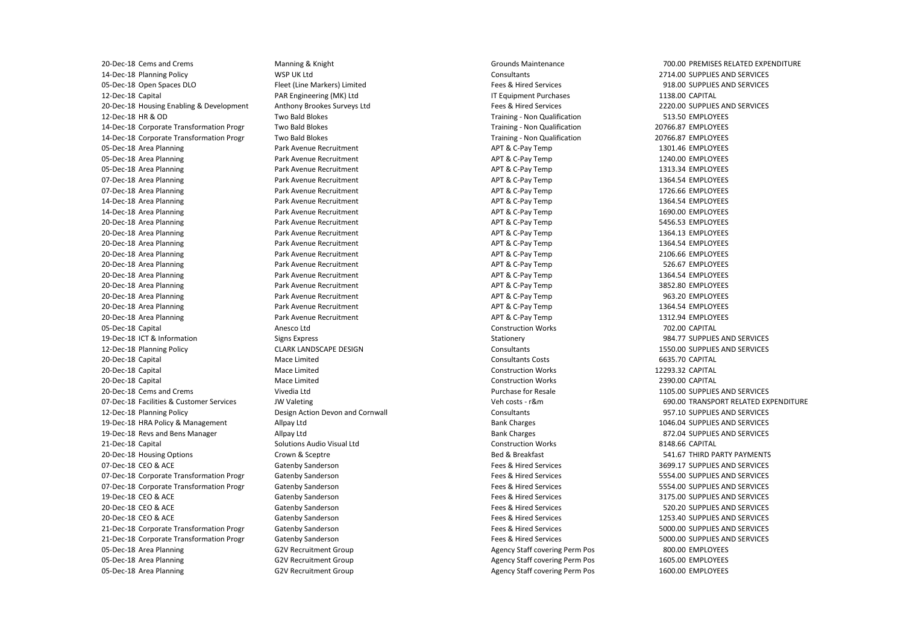20-Dec-18 Housing Enabling & Development 19-Dec-18 HRA Policy & Management 19-Dec-18 Revs and Bens Manager 20-Dec-18 Cems and Crems 14-Dec-18 Planning Policy 05-Dec-18 Open Spaces DLO 12-Dec-18 Capital 12-Dec-18 HR & OD 14-Dec-18 Corporate Transformation Progr 14-Dec-18 Corporate Transformation Progr 05-Dec-18 Area Planning 05-Dec-18 Area Planning 05-Dec-18 Area Planning 07-Dec-18 Area Planning 07-Dec-18 Area Planning 14-Dec-18 Area Planning 14-Dec-18 Area Planning 20-Dec-18 Area Planning 20-Dec-18 Area Planning 20-Dec-18 Area Planning 20-Dec-18 Area Planning 20-Dec-18 Area Planning 20-Dec-18 Area Planning 20-Dec-18 Area Planning 20-Dec-18 Area Planning 20-Dec-18 Area Planning 20-Dec-18 Area Planning 05-Dec-18 Capital 19-Dec-18 ICT & Information 12-Dec-18 Planning Policy 20-Dec-18 Capital 20-Dec-18 Capital 20-Dec-18 Capital 20-Dec-18 Cems and Crems 07-Dec-18 Facilities & Customer Services 12-Dec-18 Planning Policy 21-Dec-18 Capital 20-Dec-18 Housing Options 07-Dec-18 CEO & ACE 07-Dec-18 Corporate Transformation Progr 07-Dec-18 Corporate Transformation Progr 19-Dec-18 CEO & ACE 20-Dec-18 CEO & ACE 20-Dec-18 CEO & ACE 21-Dec-18 Corporate Transformation Progr 21-Dec-18 Corporate Transformation Progr 05-Dec-18 Area Planning 05-Dec-18 Area Planning 05-Dec-18 Area Planning

 WSP UK Ltd PAR Engineering (MK) Ltd CLARK LANDSCAPE DESIGN Solutions Audio Visual Ltd Manning & Knight Fleet (Line Markers) Limited Anthony Brookes Surveys Ltd Two Bald Blokes Two Bald Blokes Two Bald Blokes Park Avenue Recruitment Park Avenue Recruitment Park Avenue Recruitment Park Avenue Recruitment Park Avenue Recruitment Park Avenue Recruitment Park Avenue Recruitment Park Avenue Recruitment Park Avenue Recruitment Park Avenue Recruitment Park Avenue Recruitment Park Avenue Recruitment Park Avenue Recruitment Park Avenue Recruitment Park Avenue Recruitment Park Avenue Recruitment Park Avenue Recruitment Anesco Ltd Signs Express Mace Limited Mace Limited Mace Limited Vivedia Ltd JW Valeting Design Action Devon and Cornwall Allpay Ltd Allpay Ltd Crown & Sceptre Gatenby Sanderson Gatenby Sanderson Gatenby Sanderson Gatenby Sanderson Gatenby Sanderson Gatenby Sanderson Gatenby Sanderson Gatenby Sanderson G2V Recruitment Group G2V Recruitment Group G2V Recruitment Group

 Training - Non Qualification Training - Non Qualification Training - Non Qualification APT & C-Pay Temp APT & C-Pay Temp APT & C-Pay Temp APT & C-Pay Temp APT & C-Pay Temp APT & C-Pay Temp APT & C-Pay Temp APT & C-Pay Temp APT & C-Pay Temp APT & C-Pay Temp APT & C-Pay Temp APT & C-Pay Temp APT & C-Pay Temp APT & C-Pay Temp APT & C-Pay Temp APT & C-Pay Temp APT & C-Pay Temp Veh costs - r&m Agency Staff covering Perm Pos Agency Staff covering Perm Pos Agency Staff covering Perm Pos Grounds Maintenance **Consultants** Fees & Hired Services IT Equipment Purchases Fees & Hired Services Construction Works Stationery Consultants Consultants Costs Construction Works Construction Works Purchase for Resale **Consultants** Bank Charges Bank Charges Construction Works Bed & Breakfast Fees & Hired Services Fees & Hired Services Fees & Hired Services Fees & Hired Services Fees & Hired Services Fees & Hired Services Fees & Hired Services Fees & Hired Services

700.00 PREMISES RELATED EXPENDITURE 2714.00 SUPPLIES AND SERVICES 918.00 SUPPLIES AND SERVICES 1138.00 CAPITAL 2220.00 SUPPLIES AND SERVICES 513.50 EMPLOYEES 20766.87 EMPLOYEES 20766.87 EMPLOYEES 1301.46 EMPLOYEES 1240.00 EMPLOYEES 1313.34 EMPLOYEES 1364.54 EMPLOYEES 1726.66 EMPLOYEES 1364.54 EMPLOYEES 1690.00 EMPLOYEES 5456.53 EMPLOYEES 1364.13 EMPLOYEES 1364.54 EMPLOYEES 2106.66 EMPLOYEES 526.67 EMPLOYEES 1364.54 EMPLOYEES 3852.80 EMPLOYEES 963.20 EMPLOYEES 1364.54 EMPLOYEES 1312.94 EMPLOYEES 702.00 CAPITAL 984.77 SUPPLIES AND SERVICES 1550.00 SUPPLIES AND SERVICES 6635.70 CAPITAL 12293.32 CAPITAL 2390.00 CAPITAL 1105.00 SUPPLIES AND SERVICES 690.00 TRANSPORT RELATED EXPENDITURE 957.10 SUPPLIES AND SERVICES 1046.04 SUPPLIES AND SERVICES 872.04 SUPPLIES AND SERVICES 8148.66 CAPITAL 541.67 THIRD PARTY PAYMENTS 3699.17 SUPPLIES AND SERVICES 5554.00 SUPPLIES AND SERVICES 5554.00 SUPPLIES AND SERVICES 3175.00 SUPPLIES AND SERVICES 520.20 SUPPLIES AND SERVICES 1253.40 SUPPLIES AND SERVICES 5000.00 SUPPLIES AND SERVICES 5000.00 SUPPLIES AND SERVICES 800.00 EMPLOYEES 1605.00 EMPLOYEES 1600.00 EMPLOYEES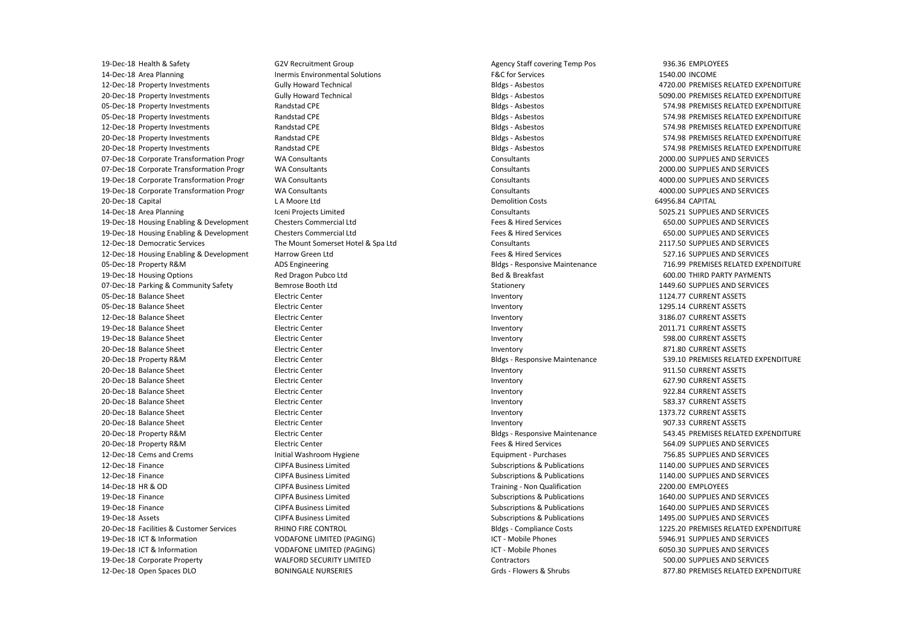19-Dec-18 Housing Enabling & Development 19-Dec-18 Housing Enabling & Development 12-Dec-18 Housing Enabling & Development 19-Dec-18 Health & Safety 14-Dec-18 Area Planning 12-Dec-18 Property Investments 20-Dec-18 Property Investments 05-Dec-18 Property Investments 05-Dec-18 Property Investments 12-Dec-18 Property Investments 20-Dec-18 Property Investments 20-Dec-18 Property Investments 07-Dec-18 Corporate Transformation Progr 07-Dec-18 Corporate Transformation Progr 19-Dec-18 Corporate Transformation Progr 19-Dec-18 Corporate Transformation Progr 20-Dec-18 Capital 14-Dec-18 Area Planning 12-Dec-18 Democratic Services 05-Dec-18 Property R&M 19-Dec-18 Housing Options 07-Dec-18 Parking & Community Safety 05-Dec-18 Balance Sheet 05-Dec-18 Balance Sheet 12-Dec-18 Balance Sheet 19-Dec-18 Balance Sheet 19-Dec-18 Balance Sheet 20-Dec-18 Balance Sheet 20-Dec-18 Property R&M 20-Dec-18 Balance Sheet 20-Dec-18 Balance Sheet 20-Dec-18 Balance Sheet 20-Dec-18 Balance Sheet 20-Dec-18 Balance Sheet 20-Dec-18 Balance Sheet 20-Dec-18 Property R&M 20-Dec-18 Property R&M 12-Dec-18 Cems and Crems 12-Dec-18 Finance 12-Dec-18 Finance 14-Dec-18 HR & OD 19-Dec-18 Finance 19-Dec-18 Finance 19-Dec-18 Assets 20-Dec-18 Facilities & Customer Services 19-Dec-18 ICT & Information 19-Dec-18 ICT & Information 19-Dec-18 Corporate Property 12-Dec-18 Open Spaces DLO

 L A Moore Ltd Iceni Projects Limited Initial Washroom Hygiene CIPFA Business Limited CIPFA Business Limited CIPFA Business Limited CIPFA Business Limited CIPFA Business Limited CIPFA Business Limited RHINO FIRE CONTROL VODAFONE LIMITED (PAGING) VODAFONE LIMITED (PAGING) WALFORD SECURITY LIMITED G2V Recruitment Group Inermis Environmental Solutions Gully Howard Technical Gully Howard Technical Randstad CPE Randstad CPE Randstad CPE Randstad CPE Randstad CPE WA Consultants WA Consultants WA Consultants WA Consultants Chesters Commercial Ltd Chesters Commercial Ltd The Mount Somerset Hotel & Spa Ltd Harrow Green Ltd ADS Engineering Red Dragon Pubco Ltd Bemrose Booth Ltd Electric Center Electric Center Electric Center Electric Center Electric Center Electric Center Electric Center Electric Center Electric Center Electric Center Electric Center Electric Center Electric Center Electric Center Electric Center BONINGALE NURSERIES

 Agency Staff covering Temp Pos Bldgs - Asbestos Bldgs - Asbestos Bldgs - Asbestos Bldgs - Asbestos Bldgs - Asbestos Bldgs - Asbestos Bldgs - Asbestos Bldgs - Responsive Maintenance Bldgs - Responsive Maintenance Bldgs - Responsive Maintenance Grds - Flowers & Shrubs F&C for Services **Consultants Consultants Consultants Consultants** Demolition Costs **Consultants** Fees & Hired Services Fees & Hired Services Consultants Fees & Hired Services Bed & Breakfast Stationery Inventory Inventory Inventory Inventory Inventory Inventory Inventory Inventory Inventory Inventory Inventory Inventory Fees & Hired Services Equipment - Purchases Subscriptions & Publications Subscriptions & Publications Training - Non Qualification Subscriptions & Publications Subscriptions & Publications Subscriptions & Publications Bldgs - Compliance Costs ICT - Mobile Phones ICT - Mobile Phones Contractors

936.36 EMPLOYEES 1540.00 INCOME 4720.00 PREMISES RELATED EXPENDITURE 5090.00 PREMISES RELATED EXPENDITURE 574.98 PREMISES RELATED EXPENDITURE 574.98 PREMISES RELATED EXPENDITURE 574.98 PREMISES RELATED EXPENDITURE 574.98 PREMISES RELATED EXPENDITURE 574.98 PREMISES RELATED EXPENDITURE 2000.00 SUPPLIES AND SERVICES 2000.00 SUPPLIES AND SERVICES 4000.00 SUPPLIES AND SERVICES 4000.00 SUPPLIES AND SERVICES 64956.84 CAPITAL 5025.21 SUPPLIES AND SERVICES 650.00 SUPPLIES AND SERVICES 650.00 SUPPLIES AND SERVICES 2117.50 SUPPLIES AND SERVICES 527.16 SUPPLIES AND SERVICES 716.99 PREMISES RELATED EXPENDITURE 600.00 THIRD PARTY PAYMENTS 1449.60 SUPPLIES AND SERVICES 1124.77 CURRENT ASSETS 1295.14 CURRENT ASSETS 3186.07 CURRENT ASSETS 2011.71 CURRENT ASSETS 598.00 CURRENT ASSETS 871.80 CURRENT ASSETS 539.10 PREMISES RELATED EXPENDITURE 911.50 CURRENT ASSETS 627.90 CURRENT ASSETS 922.84 CURRENT ASSETS 583.37 CURRENT ASSETS 1373.72 CURRENT ASSETS 907.33 CURRENT ASSETS 543.45 PREMISES RELATED EXPENDITURE 564.09 SUPPLIES AND SERVICES 756.85 SUPPLIES AND SERVICES 1140.00 SUPPLIES AND SERVICES 1140.00 SUPPLIES AND SERVICES 2200.00 EMPLOYEES 1640.00 SUPPLIES AND SERVICES 1640.00 SUPPLIES AND SERVICES 1495.00 SUPPLIES AND SERVICES 1225.20 PREMISES RELATED EXPENDITURE 5946.91 SUPPLIES AND SERVICES 6050.30 SUPPLIES AND SERVICES 500.00 SUPPLIES AND SERVICES 877.80 PREMISES RELATED EXPENDITURE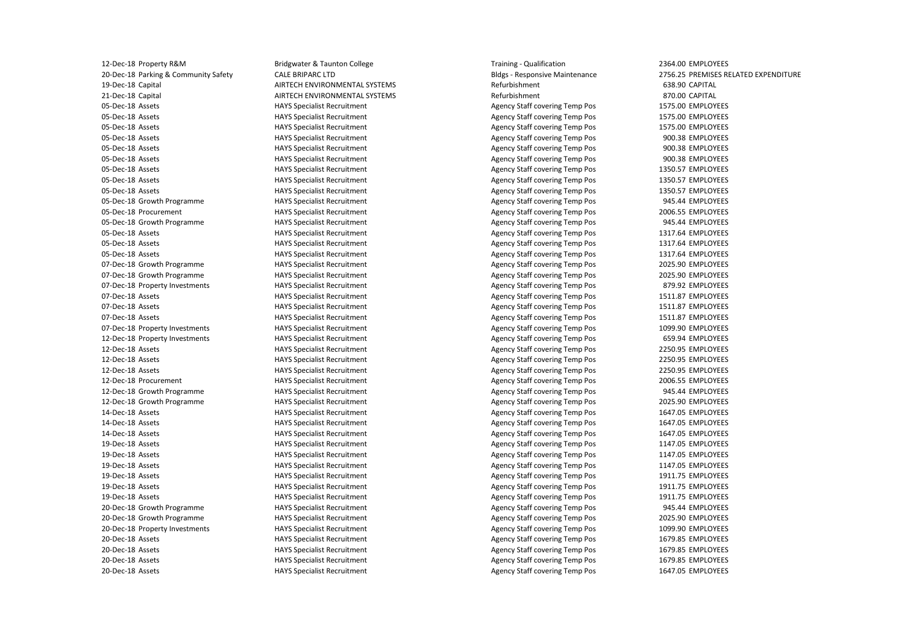12-Dec-18 Property R&M 20-Dec-18 Parking & Community Safety 19-Dec-18 Capital 21-Dec-18 Capital 05-Dec-18 Assets 05-Dec-18 Assets 05-Dec-18 Assets 05-Dec-18 Assets 05-Dec-18 Assets 05-Dec-18 Assets 05-Dec-18 Assets 05-Dec-18 Assets 05-Dec-18 Assets 05-Dec-18 Growth Programme 05-Dec-18 Procurement 05-Dec-18 Growth Programme 05-Dec-18 Assets 05-Dec-18 Assets 05-Dec-18 Assets 07-Dec-18 Growth Programme 07-Dec-18 Growth Programme 07-Dec-18 Property Investments 07-Dec-18 Assets 07-Dec-18 Assets 07-Dec-18 Assets 07-Dec-18 Property Investments 12-Dec-18 Property Investments 12-Dec-18 Assets 12-Dec-18 Assets 12-Dec-18 Assets 12-Dec-18 Procurement 12-Dec-18 Growth Programme 12-Dec-18 Growth Programme 14-Dec-18 Assets 14-Dec-18 Assets 14-Dec-18 Assets 19-Dec-18 Assets 19-Dec-18 Assets 19-Dec-18 Assets 19-Dec-18 Assets 19-Dec-18 Assets 19-Dec-18 Assets 20-Dec-18 Growth Programme 20-Dec-18 Growth Programme 20-Dec-18 Property Investments 20-Dec-18 Assets 20-Dec-18 Assets 20-Dec-18 Assets 20-Dec-18 Assets

 CALE BRIPARC LTD Bridgwater & Taunton College AIRTECH ENVIRONMENTAL SYSTEMS AIRTECH ENVIRONMENTAL SYSTEMS HAYS Specialist Recruitment HAYS Specialist Recruitment HAYS Specialist Recruitment HAYS Specialist Recruitment HAYS Specialist Recruitment HAYS Specialist Recruitment HAYS Specialist Recruitment HAYS Specialist Recruitment HAYS Specialist Recruitment HAYS Specialist Recruitment HAYS Specialist Recruitment HAYS Specialist Recruitment HAYS Specialist Recruitment HAYS Specialist Recruitment HAYS Specialist Recruitment HAYS Specialist Recruitment HAYS Specialist Recruitment HAYS Specialist Recruitment HAYS Specialist Recruitment HAYS Specialist Recruitment HAYS Specialist Recruitment HAYS Specialist Recruitment HAYS Specialist Recruitment HAYS Specialist Recruitment HAYS Specialist Recruitment HAYS Specialist Recruitment HAYS Specialist Recruitment HAYS Specialist Recruitment HAYS Specialist Recruitment HAYS Specialist Recruitment HAYS Specialist Recruitment HAYS Specialist Recruitment HAYS Specialist Recruitment HAYS Specialist Recruitment HAYS Specialist Recruitment HAYS Specialist Recruitment HAYS Specialist Recruitment HAYS Specialist Recruitment HAYS Specialist Recruitment HAYS Specialist Recruitment HAYS Specialist Recruitment HAYS Specialist Recruitment HAYS Specialist Recruitment HAYS Specialist Recruitment HAYS Specialist Recruitment

 Training - Qualification Agency Staff covering Temp Pos Agency Staff covering Temp Pos Agency Staff covering Temp Pos Agency Staff covering Temp Pos Agency Staff covering Temp Pos Agency Staff covering Temp Pos Agency Staff covering Temp Pos Agency Staff covering Temp Pos Agency Staff covering Temp Pos Agency Staff covering Temp Pos Agency Staff covering Temp Pos Agency Staff covering Temp Pos Agency Staff covering Temp Pos Agency Staff covering Temp Pos Agency Staff covering Temp Pos Agency Staff covering Temp Pos Agency Staff covering Temp Pos Agency Staff covering Temp Pos Agency Staff covering Temp Pos Agency Staff covering Temp Pos Agency Staff covering Temp Pos Agency Staff covering Temp Pos Agency Staff covering Temp Pos Agency Staff covering Temp Pos Agency Staff covering Temp Pos Agency Staff covering Temp Pos Agency Staff covering Temp Pos Agency Staff covering Temp Pos Agency Staff covering Temp Pos Agency Staff covering Temp Pos Agency Staff covering Temp Pos Agency Staff covering Temp Pos Agency Staff covering Temp Pos Agency Staff covering Temp Pos Agency Staff covering Temp Pos Agency Staff covering Temp Pos Agency Staff covering Temp Pos Agency Staff covering Temp Pos Agency Staff covering Temp Pos Agency Staff covering Temp Pos Agency Staff covering Temp Pos Agency Staff covering Temp Pos Agency Staff covering Temp Pos Agency Staff covering Temp Pos Agency Staff covering Temp Pos Bldgs - Responsive Maintenance Refurbishment Refurbishment

2364.00 EMPLOYEES 2756.25 PREMISES RELATED EXPENDITURE 638.90 CAPITAL 870.00 CAPITAL 1575.00 EMPLOYEES 1575.00 EMPLOYEES 1575.00 EMPLOYEES 900.38 EMPLOYEES 900.38 EMPLOYEES 900.38 EMPLOYEES 1350.57 EMPLOYEES 1350.57 EMPLOYEES 1350.57 EMPLOYEES 945.44 EMPLOYEES 2006.55 EMPLOYEES 945.44 EMPLOYEES 1317.64 EMPLOYEES 1317.64 EMPLOYEES 1317.64 EMPLOYEES 2025.90 EMPLOYEES 2025.90 EMPLOYEES 879.92 EMPLOYEES 1511.87 EMPLOYEES 1511.87 EMPLOYEES 1511.87 EMPLOYEES 1099.90 EMPLOYEES 659.94 EMPLOYEES 2250.95 EMPLOYEES 2250.95 EMPLOYEES 2250.95 EMPLOYEES 2006.55 EMPLOYEES 945.44 EMPLOYEES 2025.90 EMPLOYEES 1647.05 EMPLOYEES 1647.05 EMPLOYEES 1647.05 EMPLOYEES 1147.05 EMPLOYEES 1147.05 EMPLOYEES 1147.05 EMPLOYEES 1911.75 EMPLOYEES 1911.75 EMPLOYEES 1911.75 EMPLOYEES 945.44 EMPLOYEES 2025.90 EMPLOYEES 1099.90 EMPLOYEES 1679.85 EMPLOYEES 1679.85 EMPLOYEES 1679.85 EMPLOYEES 1647.05 EMPLOYEES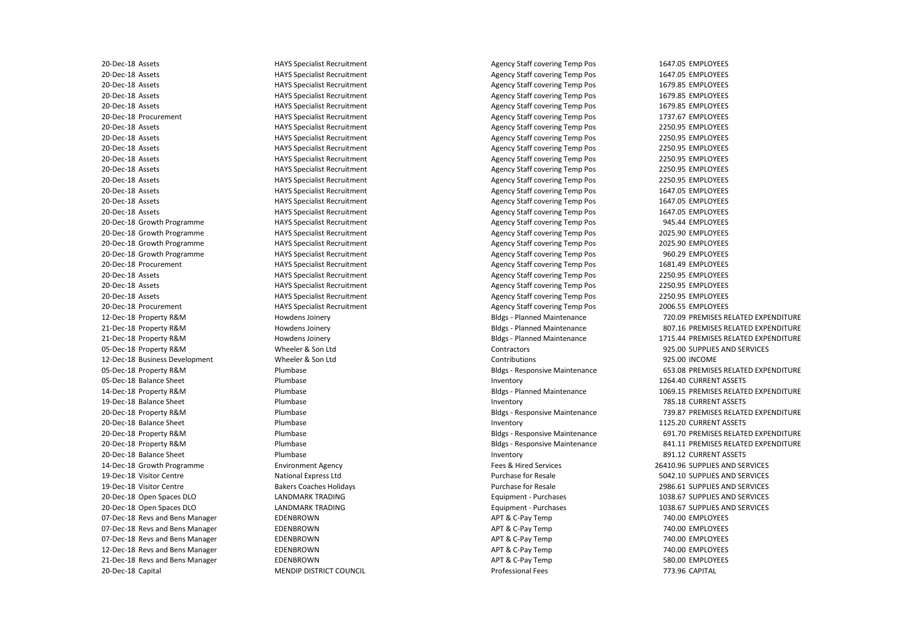07-Dec-18 Revs and Bens Manager 07-Dec-18 Revs and Bens Manager 07-Dec-18 Revs and Bens Manager 12-Dec-18 Revs and Bens Manager 21-Dec-18 Revs and Bens Manager 20-Dec-18 Assets 20-Dec-18 Assets 20-Dec-18 Assets 20-Dec-18 Assets 20-Dec-18 Assets 20-Dec-18 Procurement 20-Dec-18 Assets 20-Dec-18 Assets 20-Dec-18 Assets 20-Dec-18 Assets 20-Dec-18 Assets 20-Dec-18 Assets 20-Dec-18 Assets 20-Dec-18 Assets 20-Dec-18 Assets 20-Dec-18 Growth Programme 20-Dec-18 Growth Programme 20-Dec-18 Growth Programme 20-Dec-18 Growth Programme 20-Dec-18 Procurement 20-Dec-18 Assets 20-Dec-18 Assets 20-Dec-18 Assets 20-Dec-18 Procurement 12-Dec-18 Property R&M 21-Dec-18 Property R&M 21-Dec-18 Property R&M 05-Dec-18 Property R&M 12-Dec-18 Business Development 05-Dec-18 Property R&M 05-Dec-18 Balance Sheet 14-Dec-18 Property R&M 19-Dec-18 Balance Sheet 20-Dec-18 Property R&M 20-Dec-18 Balance Sheet 20-Dec-18 Property R&M 20-Dec-18 Property R&M 20-Dec-18 Balance Sheet 14-Dec-18 Growth Programme 19-Dec-18 Visitor Centre 19-Dec-18 Visitor Centre 20-Dec-18 Open Spaces DLO 20-Dec-18 Open Spaces DLO 20-Dec-18 Capital

 National Express Ltd Bakers Coaches Holidays MENDIP DISTRICT COUNCIL HAYS Specialist Recruitment HAYS Specialist Recruitment HAYS Specialist Recruitment HAYS Specialist Recruitment HAYS Specialist Recruitment HAYS Specialist Recruitment HAYS Specialist Recruitment HAYS Specialist Recruitment HAYS Specialist Recruitment HAYS Specialist Recruitment HAYS Specialist Recruitment HAYS Specialist Recruitment HAYS Specialist Recruitment HAYS Specialist Recruitment HAYS Specialist Recruitment HAYS Specialist Recruitment HAYS Specialist Recruitment HAYS Specialist Recruitment HAYS Specialist Recruitment HAYS Specialist Recruitment HAYS Specialist Recruitment HAYS Specialist Recruitment HAYS Specialist Recruitment HAYS Specialist Recruitment Howdens Joinery Howdens Joinery Howdens Joinery Wheeler & Son Ltd Wheeler & Son Ltd Plumbase Plumbase Plumbase Plumbase Plumbase Plumbase Plumbase Plumbase Plumbase Environment Agency LANDMARK TRADING LANDMARK TRADING **EDENBROWN EDENBROWN** EDENBROWN EDENBROWN EDENBROWN

 Agency Staff covering Temp Pos Agency Staff covering Temp Pos Agency Staff covering Temp Pos Agency Staff covering Temp Pos Agency Staff covering Temp Pos Agency Staff covering Temp Pos Agency Staff covering Temp Pos Agency Staff covering Temp Pos Agency Staff covering Temp Pos Agency Staff covering Temp Pos Agency Staff covering Temp Pos Agency Staff covering Temp Pos Agency Staff covering Temp Pos Agency Staff covering Temp Pos Agency Staff covering Temp Pos Agency Staff covering Temp Pos Agency Staff covering Temp Pos Agency Staff covering Temp Pos Agency Staff covering Temp Pos Agency Staff covering Temp Pos Agency Staff covering Temp Pos Agency Staff covering Temp Pos Agency Staff covering Temp Pos Agency Staff covering Temp Pos Bldgs - Planned Maintenance Bldgs - Planned Maintenance Bldgs - Planned Maintenance Bldgs - Responsive Maintenance Bldgs - Planned Maintenance Bldgs - Responsive Maintenance Bldgs - Responsive Maintenance Bldgs - Responsive Maintenance **Contractors** Contributions Inventory Inventory Inventory Inventory Fees & Hired Services Purchase for Resale Purchase for Resale Equipment - Purchases Equipment - Purchases APT & C-Pay Temp APT & C-Pay Temp APT & C-Pay Temp APT & C-Pay Temp APT & C-Pay Temp Professional Fees

1647.05 EMPLOYEES 1647.05 EMPLOYEES 1679.85 EMPLOYEES 1679.85 EMPLOYEES 1679.85 EMPLOYEES 1737.67 EMPLOYEES 2250.95 EMPLOYEES 2250.95 EMPLOYEES 2250.95 EMPLOYEES 2250.95 EMPLOYEES 2250.95 EMPLOYEES 2250.95 EMPLOYEES 1647.05 EMPLOYEES 1647.05 EMPLOYEES 1647.05 EMPLOYEES 945.44 EMPLOYEES 2025.90 EMPLOYEES 2025.90 EMPLOYEES 960.29 EMPLOYEES 1681.49 EMPLOYEES 2250.95 EMPLOYEES 2250.95 EMPLOYEES 2250.95 EMPLOYEES 2006.55 EMPLOYEES 720.09 PREMISES RELATED EXPENDITURE 807.16 PREMISES RELATED EXPENDITURE 1715.44 PREMISES RELATED EXPENDITURE 925.00 SUPPLIES AND SERVICES 925.00 INCOME 653.08 PREMISES RELATED EXPENDITURE 1264.40 CURRENT ASSETS 1069.15 PREMISES RELATED EXPENDITURE 785.18 CURRENT ASSETS 739.87 PREMISES RELATED EXPENDITURE 1125.20 CURRENT ASSETS 691.70 PREMISES RELATED EXPENDITURE 841.11 PREMISES RELATED EXPENDITURE 891.12 CURRENT ASSETS 26410.96 SUPPLIES AND SERVICES 5042.10 SUPPLIES AND SERVICES 2986.61 SUPPLIES AND SERVICES 1038.67 SUPPLIES AND SERVICES 1038.67 SUPPLIES AND SERVICES 740.00 EMPLOYEES 740.00 EMPLOYEES 740.00 EMPLOYEES 740.00 EMPLOYEES 580.00 EMPLOYEES 773.96 CAPITAL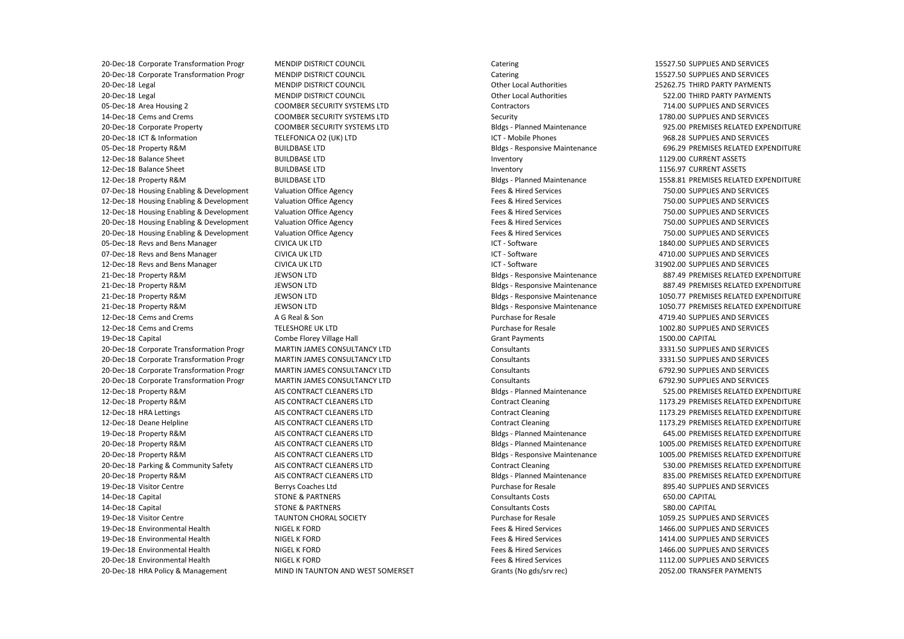07-Dec-18 Housing Enabling & Development 12-Dec-18 Housing Enabling & Development 12-Dec-18 Housing Enabling & Development 20-Dec-18 Housing Enabling & Development 20-Dec-18 Housing Enabling & Development 05-Dec-18 Revs and Bens Manager 07-Dec-18 Revs and Bens Manager 12-Dec-18 Revs and Bens Manager 20-Dec-18 HRA Policy & Management 20-Dec-18 Corporate Transformation Progr 20-Dec-18 Corporate Transformation Progr 20-Dec-18 Legal 20-Dec-18 Legal 05-Dec-18 Area Housing 2 14-Dec-18 Cems and Crems 20-Dec-18 Corporate Property 20-Dec-18 ICT & Information 05-Dec-18 Property R&M 12-Dec-18 Balance Sheet 12-Dec-18 Balance Sheet 12-Dec-18 Property R&M 21-Dec-18 Property R&M 21-Dec-18 Property R&M 21-Dec-18 Property R&M 21-Dec-18 Property R&M 12-Dec-18 Cems and Crems 12-Dec-18 Cems and Crems 19-Dec-18 Capital 20-Dec-18 Corporate Transformation Progr 20-Dec-18 Corporate Transformation Progr 20-Dec-18 Corporate Transformation Progr 20-Dec-18 Corporate Transformation Progr 12-Dec-18 Property R&M 12-Dec-18 Property R&M 12-Dec-18 HRA Lettings 12-Dec-18 Deane Helpline 19-Dec-18 Property R&M 20-Dec-18 Property R&M 20-Dec-18 Property R&M 20-Dec-18 Parking & Community Safety 20-Dec-18 Property R&M 19-Dec-18 Visitor Centre 14-Dec-18 Capital 14-Dec-18 Capital 19-Dec-18 Visitor Centre 19-Dec-18 Environmental Health 19-Dec-18 Environmental Health 19-Dec-18 Environmental Health 20-Dec-18 Environmental Health

 MENDIP DISTRICT COUNCIL MENDIP DISTRICT COUNCIL MENDIP DISTRICT COUNCIL MENDIP DISTRICT COUNCIL COOMBER SECURITY SYSTEMS LTD COOMBER SECURITY SYSTEMS LTD COOMBER SECURITY SYSTEMS LTD A G Real & Son Combe Florey Village Hall AIS CONTRACT CLEANERS LTD AIS CONTRACT CLEANERS LTD AIS CONTRACT CLEANERS LTD AIS CONTRACT CLEANERS LTD AIS CONTRACT CLEANERS LTD AIS CONTRACT CLEANERS LTD AIS CONTRACT CLEANERS LTD AIS CONTRACT CLEANERS LTD AIS CONTRACT CLEANERS LTD Berrys Coaches Ltd TAUNTON CHORAL SOCIETY NIGEL K FORD NIGEL K FORD NIGEL K FORD NIGEL K FORD TELEFONICA O2 (UK) LTD BUILDBASE LTD BUILDBASE LTD BUILDBASE LTD BUILDBASE LTD Valuation Office Agency Valuation Office Agency Valuation Office Agency Valuation Office Agency Valuation Office Agency CIVICA UK LTD CIVICA UK LTD CIVICA UK LTD JEWSON LTD JEWSON LTD JEWSON LTD JEWSON LTD TELESHORE UK LTD MARTIN JAMES CONSULTANCY LTD MARTIN JAMES CONSULTANCY LTD MARTIN JAMES CONSULTANCY LTD MARTIN JAMES CONSULTANCY LTD STONE & PARTNERS STONE & PARTNERS MIND IN TAUNTON AND WEST SOMERSET

 ICT - Mobile Phones Bldgs - Responsive Maintenance Bldgs - Planned Maintenance Bldgs - Responsive Maintenance Bldgs - Responsive Maintenance Bldgs - Responsive Maintenance Bldgs - Responsive Maintenance Catering Catering Other Local Authorities Other Local Authorities **Contractors** Security Bldgs - Planned Maintenance Inventory Inventory Fees & Hired Services Fees & Hired Services Fees & Hired Services Fees & Hired Services Fees & Hired Services ICT - Software ICT - Software ICT - Software Purchase for Resale Purchase for Resale Grant Payments Consultants Consultants **Consultants** Consultants Bldgs - Planned Maintenance Contract Cleaning Contract Cleaning Contract Cleaning Bldgs - Planned Maintenance Bldgs - Planned Maintenance Bldgs - Responsive Maintenance Contract Cleaning Bldgs - Planned Maintenance Purchase for Resale Consultants Costs Consultants Costs Purchase for Resale Fees & Hired Services Fees & Hired Services Fees & Hired Services Fees & Hired Services Grants (No gds/srv rec)

15527.50 SUPPLIES AND SERVICES 15527.50 SUPPLIES AND SERVICES 25262.75 THIRD PARTY PAYMENTS 522.00 THIRD PARTY PAYMENTS 714.00 SUPPLIES AND SERVICES 1780.00 SUPPLIES AND SERVICES 925.00 PREMISES RELATED EXPENDITURE 968.28 SUPPLIES AND SERVICES 696.29 PREMISES RELATED EXPENDITURE 1129.00 CURRENT ASSETS 1156.97 CURRENT ASSETS 1558.81 PREMISES RELATED EXPENDITURE 750.00 SUPPLIES AND SERVICES 750.00 SUPPLIES AND SERVICES 750.00 SUPPLIES AND SERVICES 750.00 SUPPLIES AND SERVICES 750.00 SUPPLIES AND SERVICES 1840.00 SUPPLIES AND SERVICES 4710.00 SUPPLIES AND SERVICES 31902.00 SUPPLIES AND SERVICES 887.49 PREMISES RELATED EXPENDITURE 887.49 PREMISES RELATED EXPENDITURE 1050.77 PREMISES RELATED EXPENDITURE 1050.77 PREMISES RELATED EXPENDITURE 4719.40 SUPPLIES AND SERVICES 1002.80 SUPPLIES AND SERVICES 1500.00 CAPITAL 3331.50 SUPPLIES AND SERVICES 3331.50 SUPPLIES AND SERVICES 6792.90 SUPPLIES AND SERVICES 6792.90 SUPPLIES AND SERVICES 525.00 PREMISES RELATED EXPENDITURE 1173.29 PREMISES RELATED EXPENDITURE 1173.29 PREMISES RELATED EXPENDITURE 1173.29 PREMISES RELATED EXPENDITURE 645.00 PREMISES RELATED EXPENDITURE 1005.00 PREMISES RELATED EXPENDITURE 1005.00 PREMISES RELATED EXPENDITURE 530.00 PREMISES RELATED EXPENDITURE 835.00 PREMISES RELATED EXPENDITURE 895.40 SUPPLIES AND SERVICES 650.00 CAPITAL 580.00 CAPITAL 1059.25 SUPPLIES AND SERVICES 1466.00 SUPPLIES AND SERVICES 1414.00 SUPPLIES AND SERVICES 1466.00 SUPPLIES AND SERVICES 1112.00 SUPPLIES AND SERVICES 2052.00 TRANSFER PAYMENTS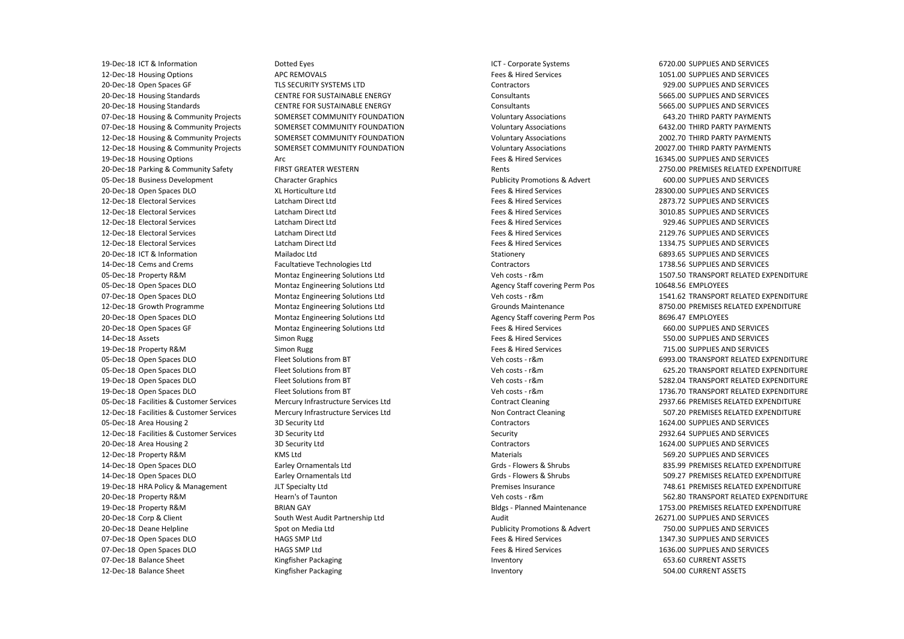19-Dec-18 HRA Policy & Management 19-Dec-18 ICT & Information 12-Dec-18 Housing Options 20-Dec-18 Open Spaces GF 20-Dec-18 Housing Standards 20-Dec-18 Housing Standards 07-Dec-18 Housing & Community Projects 07-Dec-18 Housing & Community Projects 12-Dec-18 Housing & Community Projects 12-Dec-18 Housing & Community Projects 19-Dec-18 Housing Options 20-Dec-18 Parking & Community Safety 05-Dec-18 Business Development 20-Dec-18 Open Spaces DLO 12-Dec-18 Electoral Services 12-Dec-18 Electoral Services 12-Dec-18 Electoral Services 12-Dec-18 Electoral Services 12-Dec-18 Electoral Services 20-Dec-18 ICT & Information 14-Dec-18 Cems and Crems 05-Dec-18 Property R&M 05-Dec-18 Open Spaces DLO 07-Dec-18 Open Spaces DLO 12-Dec-18 Growth Programme 20-Dec-18 Open Spaces DLO 20-Dec-18 Open Spaces GF 14-Dec-18 Assets 19-Dec-18 Property R&M 05-Dec-18 Open Spaces DLO 05-Dec-18 Open Spaces DLO 19-Dec-18 Open Spaces DLO 19-Dec-18 Open Spaces DLO 05-Dec-18 Facilities & Customer Services 12-Dec-18 Facilities & Customer Services 05-Dec-18 Area Housing 2 12-Dec-18 Facilities & Customer Services 20-Dec-18 Area Housing 2 12-Dec-18 Property R&M 14-Dec-18 Open Spaces DLO 14-Dec-18 Open Spaces DLO 20-Dec-18 Property R&M 19-Dec-18 Property R&M 20-Dec-18 Corp & Client 20-Dec-18 Deane Helpline 07-Dec-18 Open Spaces DLO 07-Dec-18 Open Spaces DLO 07-Dec-18 Balance Sheet 12-Dec-18 Balance Sheet

 TLS SECURITY SYSTEMS LTD CENTRE FOR SUSTAINABLE ENERGY CENTRE FOR SUSTAINABLE ENERGY FIRST GREATER WESTERN XL Horticulture Ltd Montaz Engineering Solutions Ltd Montaz Engineering Solutions Ltd Montaz Engineering Solutions Ltd Montaz Engineering Solutions Ltd Montaz Engineering Solutions Ltd Montaz Engineering Solutions Ltd Fleet Solutions from BT Fleet Solutions from BT Fleet Solutions from BT Fleet Solutions from BT Mercury Infrastructure Services Ltd Mercury Infrastructure Services Ltd 3D Security Ltd 3D Security Ltd 3D Security Ltd Hearn's of Taunton Dotted Eyes APC REMOVALS SOMERSET COMMUNITY FOUNDATION SOMERSET COMMUNITY FOUNDATION SOMERSET COMMUNITY FOUNDATION SOMERSET COMMUNITY FOUNDATION Arc Character Graphics Latcham Direct Ltd Latcham Direct Ltd Latcham Direct Ltd Latcham Direct Ltd Latcham Direct Ltd Mailadoc Ltd Facultatieve Technologies Ltd Simon Rugg Simon Rugg KMS Ltd Earley Ornamentals Ltd Earley Ornamentals Ltd JLT Specialty Ltd BRIAN GAY South West Audit Partnership Ltd Spot on Media Ltd HAGS SMP Ltd HAGS SMP Ltd Kingfisher Packaging Kingfisher Packaging

 ICT - Corporate Systems Publicity Promotions & Advert Grds - Flowers & Shrubs Grds - Flowers & Shrubs Bldgs - Planned Maintenance Publicity Promotions & Advert Fees & Hired Services **Contractors Consultants** Consultants Voluntary Associations Voluntary Associations Voluntary Associations Voluntary Associations Fees & Hired Services Rents Fees & Hired Services Fees & Hired Services Fees & Hired Services Fees & Hired Services Fees & Hired Services Fees & Hired Services Stationery Contractors Veh costs - r&m Agency Staff covering Perm Pos Veh costs - r&m Grounds Maintenance Agency Staff covering Perm Pos Fees & Hired Services Fees & Hired Services Fees & Hired Services Veh costs - r&m Veh costs - r&m Veh costs - r&m Veh costs - r&m Contract Cleaning Non Contract Cleaning **Contractors** Security **Contractors** Materials Premises Insurance Veh costs - r&m Audit Fees & Hired Services Fees & Hired Services Inventory Inventory

6720.00 SUPPLIES AND SERVICES 1051.00 SUPPLIES AND SERVICES 929.00 SUPPLIES AND SERVICES 5665.00 SUPPLIES AND SERVICES 5665.00 SUPPLIES AND SERVICES 643.20 THIRD PARTY PAYMENTS 6432.00 THIRD PARTY PAYMENTS 2002.70 THIRD PARTY PAYMENTS 20027.00 THIRD PARTY PAYMENTS 16345.00 SUPPLIES AND SERVICES 2750.00 PREMISES RELATED EXPENDITURE 600.00 SUPPLIES AND SERVICES 28300.00 SUPPLIES AND SERVICES 2873.72 SUPPLIES AND SERVICES 3010.85 SUPPLIES AND SERVICES 929.46 SUPPLIES AND SERVICES 2129.76 SUPPLIES AND SERVICES 1334.75 SUPPLIES AND SERVICES 6893.65 SUPPLIES AND SERVICES 1738.56 SUPPLIES AND SERVICES 1507.50 TRANSPORT RELATED EXPENDITURE 10648.56 EMPLOYEES 1541.62 TRANSPORT RELATED EXPENDITURE 8750.00 PREMISES RELATED EXPENDITURE 8696.47 EMPLOYEES 660.00 SUPPLIES AND SERVICES 550.00 SUPPLIES AND SERVICES 715.00 SUPPLIES AND SERVICES 6993.00 TRANSPORT RELATED EXPENDITURE 625.20 TRANSPORT RELATED EXPENDITURE 5282.04 TRANSPORT RELATED EXPENDITURE 1736.70 TRANSPORT RELATED EXPENDITURE 2937.66 PREMISES RELATED EXPENDITURE 507.20 PREMISES RELATED EXPENDITURE 1624.00 SUPPLIES AND SERVICES 2932.64 SUPPLIES AND SERVICES 1624.00 SUPPLIES AND SERVICES 569.20 SUPPLIES AND SERVICES 835.99 PREMISES RELATED EXPENDITURE 509.27 PREMISES RELATED EXPENDITURE 748.61 PREMISES RELATED EXPENDITURE 562.80 TRANSPORT RELATED EXPENDITURE 1753.00 PREMISES RELATED EXPENDITURE 26271.00 SUPPLIES AND SERVICES 750.00 SUPPLIES AND SERVICES 1347.30 SUPPLIES AND SERVICES 1636.00 SUPPLIES AND SERVICES 653.60 CURRENT ASSETS 504.00 CURRENT ASSETS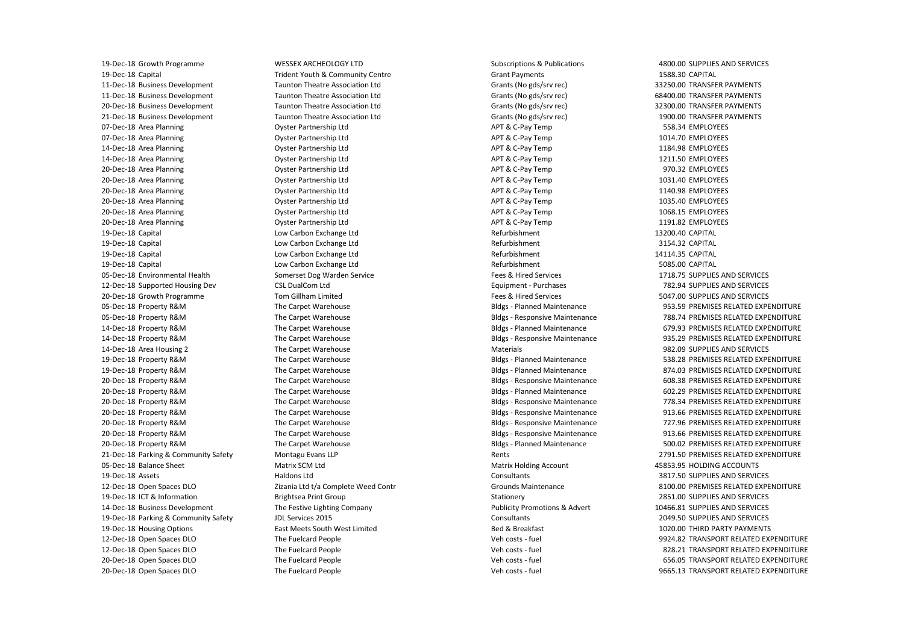19-Dec-18 Growth Programme 19-Dec-18 Capital 11-Dec-18 Business Development 11-Dec-18 Business Development 20-Dec-18 Business Development 21-Dec-18 Business Development 07-Dec-18 Area Planning 07-Dec-18 Area Planning 14-Dec-18 Area Planning 14-Dec-18 Area Planning 20-Dec-18 Area Planning 20-Dec-18 Area Planning 20-Dec-18 Area Planning 20-Dec-18 Area Planning 20-Dec-18 Area Planning 20-Dec-18 Area Planning 19-Dec-18 Capital 19-Dec-18 Capital 19-Dec-18 Capital 19-Dec-18 Capital 05-Dec-18 Environmental Health 12-Dec-18 Supported Housing Dev 20-Dec-18 Growth Programme 05-Dec-18 Property R&M 05-Dec-18 Property R&M 14-Dec-18 Property R&M 14-Dec-18 Property R&M 14-Dec-18 Area Housing 2 19-Dec-18 Property R&M 19-Dec-18 Property R&M 20-Dec-18 Property R&M 20-Dec-18 Property R&M 20-Dec-18 Property R&M 20-Dec-18 Property R&M 20-Dec-18 Property R&M 20-Dec-18 Property R&M 20-Dec-18 Property R&M 21-Dec-18 Parking & Community Safety 05-Dec-18 Balance Sheet 19-Dec-18 Assets 12-Dec-18 Open Spaces DLO 19-Dec-18 ICT & Information 14-Dec-18 Business Development 19-Dec-18 Parking & Community Safety 19-Dec-18 Housing Options 12-Dec-18 Open Spaces DLO 12-Dec-18 Open Spaces DLO 20-Dec-18 Open Spaces DLO 20-Dec-18 Open Spaces DLO

 CSL DualCom Ltd Tom Gillham Limited The Festive Lighting Company JDL Services 2015 The Fuelcard People The Fuelcard People The Fuelcard People The Fuelcard People WESSEX ARCHEOLOGY LTD Trident Youth & Community Centre Taunton Theatre Association Ltd Taunton Theatre Association Ltd Taunton Theatre Association Ltd Taunton Theatre Association Ltd Oyster Partnership Ltd Oyster Partnership Ltd Oyster Partnership Ltd Oyster Partnership Ltd Oyster Partnership Ltd Oyster Partnership Ltd Oyster Partnership Ltd Oyster Partnership Ltd Oyster Partnership Ltd Oyster Partnership Ltd Low Carbon Exchange Ltd Low Carbon Exchange Ltd Low Carbon Exchange Ltd Low Carbon Exchange Ltd Somerset Dog Warden Service The Carpet Warehouse The Carpet Warehouse The Carpet Warehouse The Carpet Warehouse The Carpet Warehouse The Carpet Warehouse The Carpet Warehouse The Carpet Warehouse The Carpet Warehouse The Carpet Warehouse The Carpet Warehouse The Carpet Warehouse The Carpet Warehouse The Carpet Warehouse Montagu Evans LLP Matrix SCM Ltd Haldons Ltd Zizania Ltd t/a Complete Weed Contr Brightsea Print Group East Meets South West Limited

 Grants (No gds/srv rec) Grants (No gds/srv rec) Grants (No gds/srv rec) Grants (No gds/srv rec) APT & C-Pay Temp APT & C-Pay Temp APT & C-Pay Temp APT & C-Pay Temp APT & C-Pay Temp APT & C-Pay Temp APT & C-Pay Temp APT & C-Pay Temp APT & C-Pay Temp APT & C-Pay Temp Bldgs - Planned Maintenance Bldgs - Responsive Maintenance Bldgs - Planned Maintenance Bldgs - Responsive Maintenance Bldgs - Planned Maintenance Bldgs - Planned Maintenance Bldgs - Responsive Maintenance Bldgs - Planned Maintenance Bldgs - Responsive Maintenance Bldgs - Responsive Maintenance Bldgs - Responsive Maintenance Bldgs - Responsive Maintenance Bldgs - Planned Maintenance Matrix Holding Account Subscriptions & Publications Grant Payments Refurbishment Refurbishment Refurbishment Refurbishment Fees & Hired Services Equipment - Purchases Fees & Hired Services Materials Rents **Consultants** Grounds Maintenance Stationery Publicity Promotions & Advert Consultants Bed & Breakfast Veh costs - fuel Veh costs - fuel Veh costs - fuel Veh costs - fuel

4800.00 SUPPLIES AND SERVICES 1588.30 CAPITAL 33250.00 TRANSFER PAYMENTS 68400.00 TRANSFER PAYMENTS 32300.00 TRANSFER PAYMENTS 1900.00 TRANSFER PAYMENTS 558.34 EMPLOYEES 1014.70 EMPLOYEES 1184.98 EMPLOYEES 1211.50 EMPLOYEES 970.32 EMPLOYEES 1031.40 EMPLOYEES 1140.98 EMPLOYEES 1035.40 EMPLOYEES 1068.15 EMPLOYEES 1191.82 EMPLOYEES 13200.40 CAPITAL 3154.32 CAPITAL 14114.35 CAPITAL 5085.00 CAPITAL 1718.75 SUPPLIES AND SERVICES 782.94 SUPPLIES AND SERVICES 5047.00 SUPPLIES AND SERVICES 953.59 PREMISES RELATED EXPENDITURE 788.74 PREMISES RELATED EXPENDITURE 679.93 PREMISES RELATED EXPENDITURE 935.29 PREMISES RELATED EXPENDITURE 982.09 SUPPLIES AND SERVICES 538.28 PREMISES RELATED EXPENDITURE 874.03 PREMISES RELATED EXPENDITURE 608.38 PREMISES RELATED EXPENDITURE 602.29 PREMISES RELATED EXPENDITURE 778.34 PREMISES RELATED EXPENDITURE 913.66 PREMISES RELATED EXPENDITURE 727.96 PREMISES RELATED EXPENDITURE 913.66 PREMISES RELATED EXPENDITURE 500.02 PREMISES RELATED EXPENDITURE 2791.50 PREMISES RELATED EXPENDITURE 45853.95 HOLDING ACCOUNTS 3817.50 SUPPLIES AND SERVICES 8100.00 PREMISES RELATED EXPENDITURE 2851.00 SUPPLIES AND SERVICES 10466.81 SUPPLIES AND SERVICES 2049.50 SUPPLIES AND SERVICES 1020.00 THIRD PARTY PAYMENTS 9924.82 TRANSPORT RELATED EXPENDITURE 828.21 TRANSPORT RELATED EXPENDITURE 656.05 TRANSPORT RELATED EXPENDITURE 9665.13 TRANSPORT RELATED EXPENDITURE